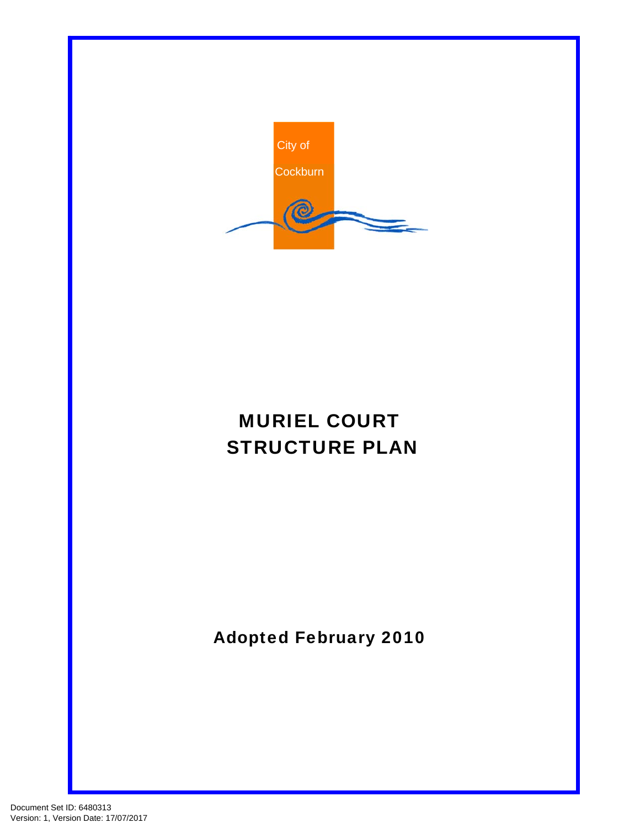

# MURIEL COURT STRUCTURE PLAN

Adopted February 2010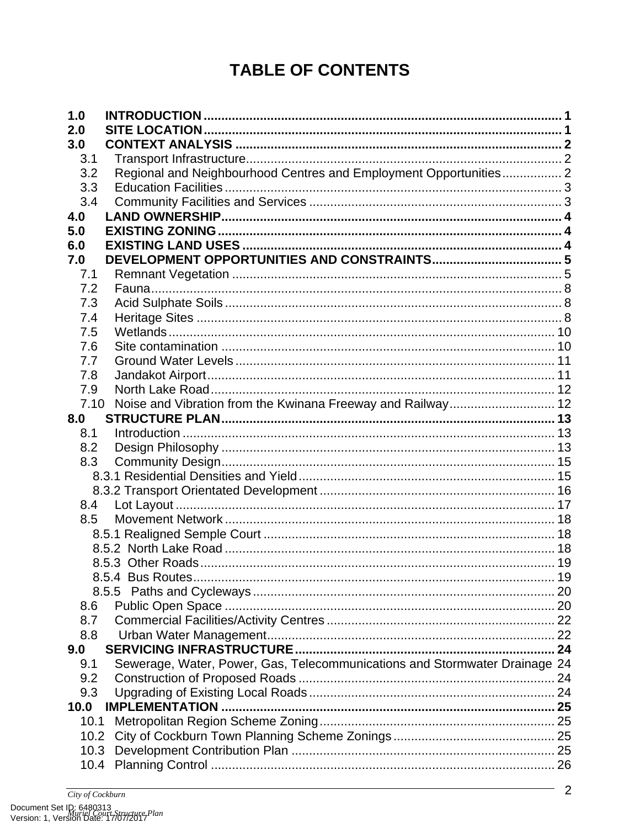# **TABLE OF CONTENTS**

| 1.0  |                                                                            |  |
|------|----------------------------------------------------------------------------|--|
| 2.0  |                                                                            |  |
| 3.0  |                                                                            |  |
| 3.1  |                                                                            |  |
| 3.2  | Regional and Neighbourhood Centres and Employment Opportunities 2          |  |
| 3.3  |                                                                            |  |
| 3.4  |                                                                            |  |
| 4.0  |                                                                            |  |
| 5.0  |                                                                            |  |
| 6.0  |                                                                            |  |
| 7.0  |                                                                            |  |
| 7.1  |                                                                            |  |
| 7.2  |                                                                            |  |
| 7.3  |                                                                            |  |
| 7.4  |                                                                            |  |
| 7.5  |                                                                            |  |
| 7.6  |                                                                            |  |
| 7.7  |                                                                            |  |
| 7.8  |                                                                            |  |
| 7.9  |                                                                            |  |
| 7.10 | Noise and Vibration from the Kwinana Freeway and Railway 12                |  |
| 8.0  |                                                                            |  |
| 8.1  |                                                                            |  |
| 8.2  |                                                                            |  |
| 8.3  |                                                                            |  |
|      |                                                                            |  |
|      |                                                                            |  |
| 8.4  |                                                                            |  |
| 8.5  |                                                                            |  |
|      |                                                                            |  |
|      |                                                                            |  |
|      |                                                                            |  |
|      |                                                                            |  |
|      |                                                                            |  |
| 8.6  |                                                                            |  |
| 8.7  |                                                                            |  |
| 8.8  |                                                                            |  |
| 9.0  |                                                                            |  |
| 9.1  | Sewerage, Water, Power, Gas, Telecommunications and Stormwater Drainage 24 |  |
| 9.2  |                                                                            |  |
| 9.3  |                                                                            |  |
| 10.0 |                                                                            |  |
| 10.1 |                                                                            |  |
| 10.2 |                                                                            |  |
| 10.3 |                                                                            |  |
|      |                                                                            |  |
|      |                                                                            |  |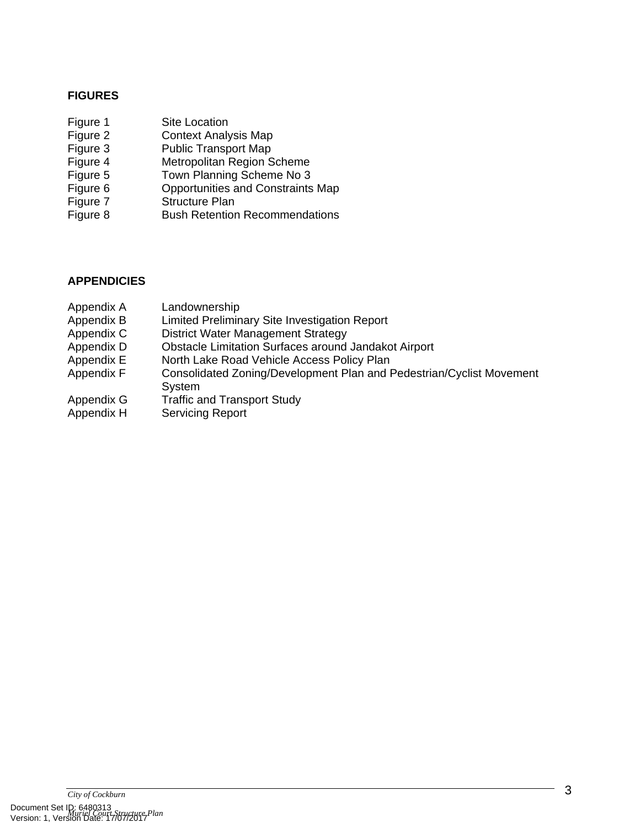## **FIGURES**

- Figure 1 Site Location<br>Figure 2 Context Analy
- Figure 2 Context Analysis Map<br>Figure 3 Public Transport Map
- Figure 3 Public Transport Map<br>Figure 4 Metropolitan Region S
- Figure 4 Metropolitan Region Scheme
- Figure 5 Town Planning Scheme No 3
- Figure 6 Opportunities and Constraints Map
- Figure 7 Structure Plan<br>Figure 8 Bush Retention
- **Bush Retention Recommendations**

## **APPENDICIES**

| Appendix A               | Landownership                                                                  |
|--------------------------|--------------------------------------------------------------------------------|
| Appendix B               | Limited Preliminary Site Investigation Report                                  |
| Appendix C               | <b>District Water Management Strategy</b>                                      |
| Appendix D               | <b>Obstacle Limitation Surfaces around Jandakot Airport</b>                    |
| Appendix E               | North Lake Road Vehicle Access Policy Plan                                     |
| Appendix F               | Consolidated Zoning/Development Plan and Pedestrian/Cyclist Movement<br>System |
| Appendix G<br>Appendix H | <b>Traffic and Transport Study</b><br><b>Servicing Report</b>                  |
|                          |                                                                                |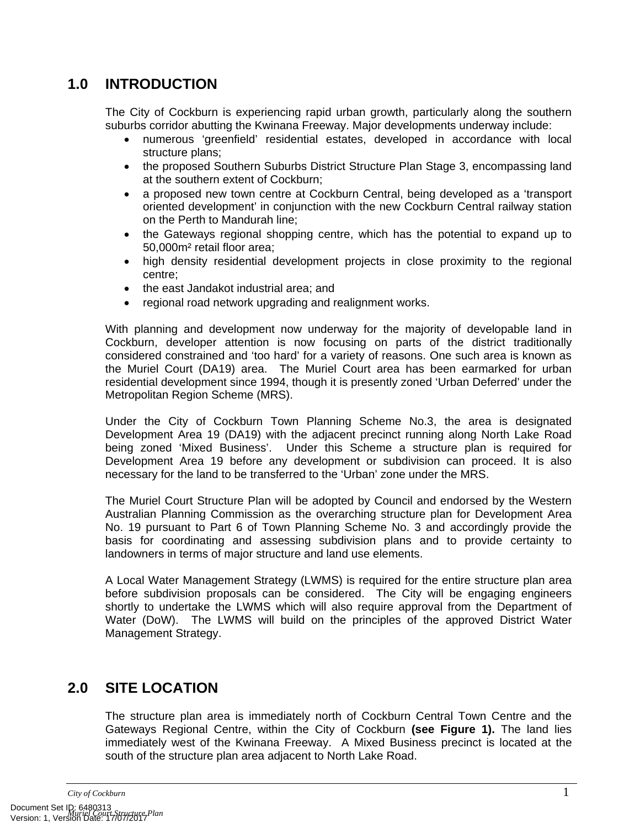## <span id="page-3-1"></span><span id="page-3-0"></span>**1.0 INTRODUCTION**

The City of Cockburn is experiencing rapid urban growth, particularly along the southern suburbs corridor abutting the Kwinana Freeway. Major developments underway include:

- numerous 'greenfield' residential estates, developed in accordance with local structure plans;
- the proposed Southern Suburbs District Structure Plan Stage 3, encompassing land at the southern extent of Cockburn;
- a proposed new town centre at Cockburn Central, being developed as a 'transport oriented development' in conjunction with the new Cockburn Central railway station on the Perth to Mandurah line;
- the Gateways regional shopping centre, which has the potential to expand up to 50,000m² retail floor area;
- high density residential development projects in close proximity to the regional centre;
- the east Jandakot industrial area; and
- regional road network upgrading and realignment works.

With planning and development now underway for the majority of developable land in Cockburn, developer attention is now focusing on parts of the district traditionally considered constrained and 'too hard' for a variety of reasons. One such area is known as the Muriel Court (DA19) area. The Muriel Court area has been earmarked for urban residential development since 1994, though it is presently zoned 'Urban Deferred' under the Metropolitan Region Scheme (MRS).

Under the City of Cockburn Town Planning Scheme No.3, the area is designated Development Area 19 (DA19) with the adjacent precinct running along North Lake Road being zoned 'Mixed Business'. Under this Scheme a structure plan is required for Development Area 19 before any development or subdivision can proceed. It is also necessary for the land to be transferred to the 'Urban' zone under the MRS.

The Muriel Court Structure Plan will be adopted by Council and endorsed by the Western Australian Planning Commission as the overarching structure plan for Development Area No. 19 pursuant to Part 6 of Town Planning Scheme No. 3 and accordingly provide the basis for coordinating and assessing subdivision plans and to provide certainty to landowners in terms of major structure and land use elements.

A Local Water Management Strategy (LWMS) is required for the entire structure plan area before subdivision proposals can be considered. The City will be engaging engineers shortly to undertake the LWMS which will also require approval from the Department of Water (DoW). The LWMS will build on the principles of the approved District Water Management Strategy.

## <span id="page-3-2"></span>**2.0 SITE LOCATION**

The structure plan area is immediately north of Cockburn Central Town Centre and the Gateways Regional Centre, within the City of Cockburn **(see Figure 1).** The land lies immediately west of the Kwinana Freeway. A Mixed Business precinct is located at the south of the structure plan area adjacent to North Lake Road.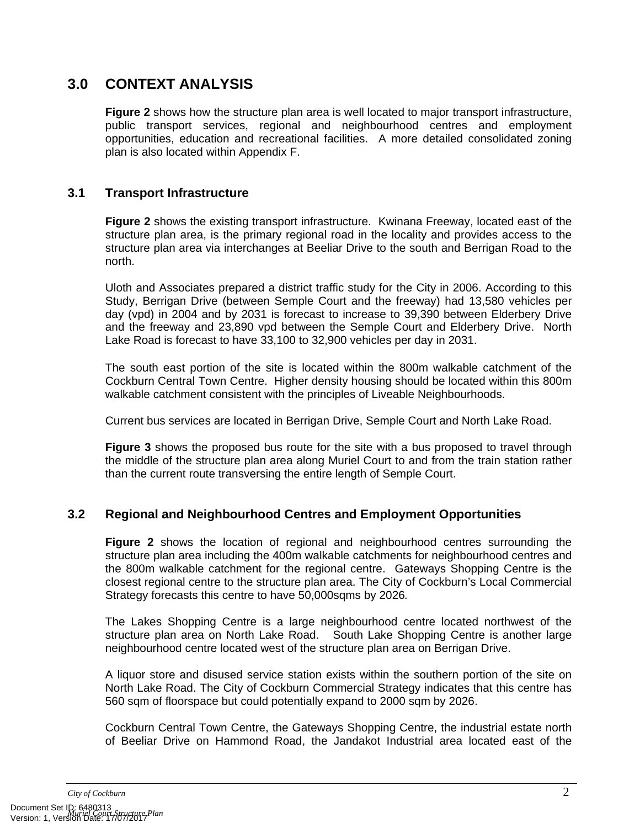## <span id="page-4-1"></span><span id="page-4-0"></span>**3.0 CONTEXT ANALYSIS**

**Figure 2** shows how the structure plan area is well located to major transport infrastructure, public transport services, regional and neighbourhood centres and employment opportunities, education and recreational facilities. A more detailed consolidated zoning plan is also located within Appendix F.

## <span id="page-4-2"></span>**3.1 Transport Infrastructure**

**Figure 2** shows the existing transport infrastructure. Kwinana Freeway, located east of the structure plan area, is the primary regional road in the locality and provides access to the structure plan area via interchanges at Beeliar Drive to the south and Berrigan Road to the north.

Uloth and Associates prepared a district traffic study for the City in 2006. According to this Study, Berrigan Drive (between Semple Court and the freeway) had 13,580 vehicles per day (vpd) in 2004 and by 2031 is forecast to increase to 39,390 between Elderbery Drive and the freeway and 23,890 vpd between the Semple Court and Elderbery Drive. North Lake Road is forecast to have 33,100 to 32,900 vehicles per day in 2031.

The south east portion of the site is located within the 800m walkable catchment of the Cockburn Central Town Centre. Higher density housing should be located within this 800m walkable catchment consistent with the principles of Liveable Neighbourhoods.

Current bus services are located in Berrigan Drive, Semple Court and North Lake Road.

**Figure 3** shows the proposed bus route for the site with a bus proposed to travel through the middle of the structure plan area along Muriel Court to and from the train station rather than the current route transversing the entire length of Semple Court.

## <span id="page-4-3"></span>**3.2 Regional and Neighbourhood Centres and Employment Opportunities**

**Figure 2** shows the location of regional and neighbourhood centres surrounding the structure plan area including the 400m walkable catchments for neighbourhood centres and the 800m walkable catchment for the regional centre. Gateways Shopping Centre is the closest regional centre to the structure plan area. The City of Cockburn's Local Commercial Strategy forecasts this centre to have 50,000sqms by 2026*.*

The Lakes Shopping Centre is a large neighbourhood centre located northwest of the structure plan area on North Lake Road. South Lake Shopping Centre is another large neighbourhood centre located west of the structure plan area on Berrigan Drive.

A liquor store and disused service station exists within the southern portion of the site on North Lake Road. The City of Cockburn Commercial Strategy indicates that this centre has 560 sqm of floorspace but could potentially expand to 2000 sqm by 2026.

Cockburn Central Town Centre, the Gateways Shopping Centre, the industrial estate north of Beeliar Drive on Hammond Road, the Jandakot Industrial area located east of the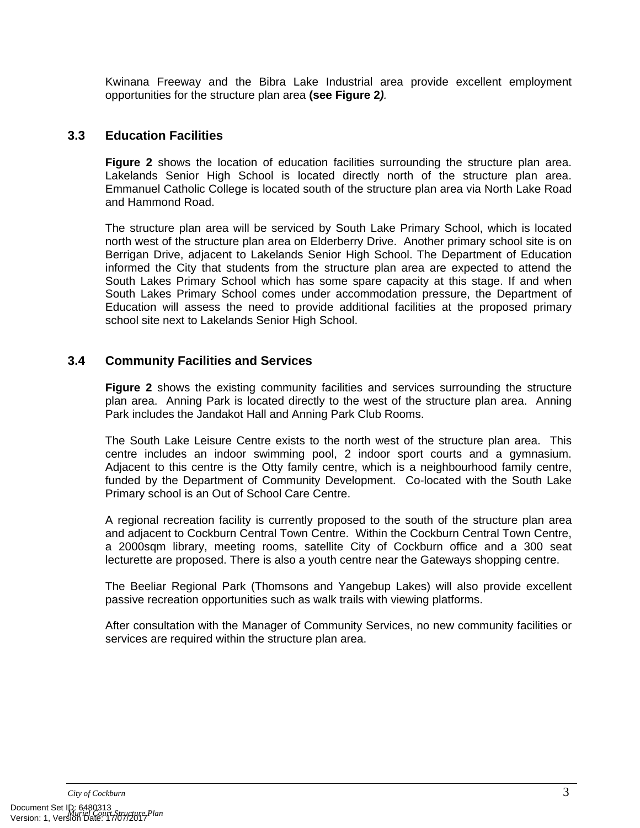<span id="page-5-0"></span>Kwinana Freeway and the Bibra Lake Industrial area provide excellent employment opportunities for the structure plan area **(see Figure 2***).* 

## <span id="page-5-1"></span>**3.3 Education Facilities**

**Figure 2** shows the location of education facilities surrounding the structure plan area. Lakelands Senior High School is located directly north of the structure plan area. Emmanuel Catholic College is located south of the structure plan area via North Lake Road and Hammond Road.

The structure plan area will be serviced by South Lake Primary School, which is located north west of the structure plan area on Elderberry Drive. Another primary school site is on Berrigan Drive, adjacent to Lakelands Senior High School. The Department of Education informed the City that students from the structure plan area are expected to attend the South Lakes Primary School which has some spare capacity at this stage. If and when South Lakes Primary School comes under accommodation pressure, the Department of Education will assess the need to provide additional facilities at the proposed primary school site next to Lakelands Senior High School.

## <span id="page-5-2"></span>**3.4 Community Facilities and Services**

**Figure 2** shows the existing community facilities and services surrounding the structure plan area. Anning Park is located directly to the west of the structure plan area. Anning Park includes the Jandakot Hall and Anning Park Club Rooms.

The South Lake Leisure Centre exists to the north west of the structure plan area. This centre includes an indoor swimming pool, 2 indoor sport courts and a gymnasium. Adjacent to this centre is the Otty family centre, which is a neighbourhood family centre, funded by the Department of Community Development. Co-located with the South Lake Primary school is an Out of School Care Centre.

A regional recreation facility is currently proposed to the south of the structure plan area and adjacent to Cockburn Central Town Centre. Within the Cockburn Central Town Centre, a 2000sqm library, meeting rooms, satellite City of Cockburn office and a 300 seat lecturette are proposed. There is also a youth centre near the Gateways shopping centre.

The Beeliar Regional Park (Thomsons and Yangebup Lakes) will also provide excellent passive recreation opportunities such as walk trails with viewing platforms.

After consultation with the Manager of Community Services, no new community facilities or services are required within the structure plan area.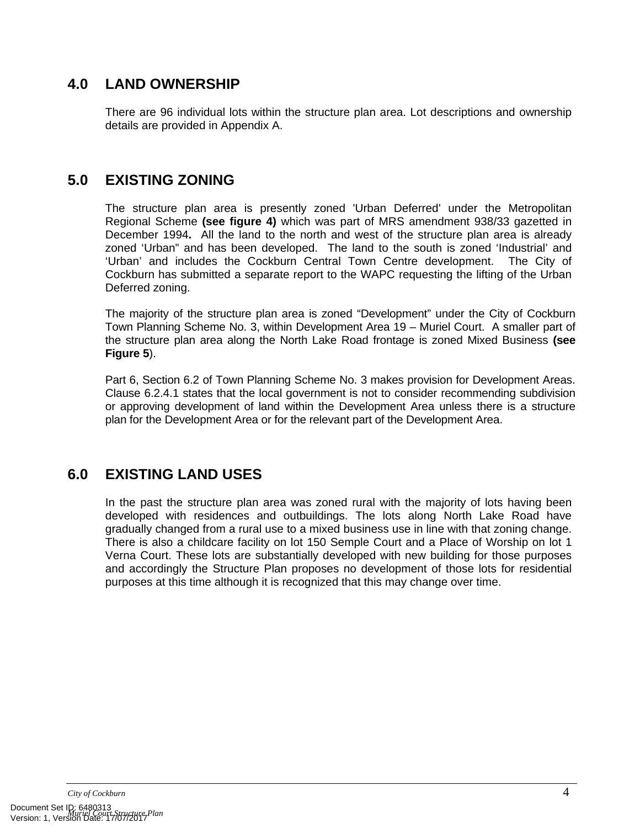## <span id="page-6-1"></span><span id="page-6-0"></span>**4.0 LAND OWNERSHIP**

There are 96 individual lots within the structure plan area. Lot descriptions and ownership details are provided in Appendix A.

## <span id="page-6-2"></span>**5.0 EXISTING ZONING**

The structure plan area is presently zoned 'Urban Deferred' under the Metropolitan Regional Scheme **(see figure 4)** which was part of MRS amendment 938/33 gazetted in December 1994**.** All the land to the north and west of the structure plan area is already zoned 'Urban" and has been developed. The land to the south is zoned 'Industrial' and 'Urban' and includes the Cockburn Central Town Centre development. The City of Cockburn has submitted a separate report to the WAPC requesting the lifting of the Urban Deferred zoning.

The majority of the structure plan area is zoned "Development" under the City of Cockburn Town Planning Scheme No. 3, within Development Area 19 – Muriel Court. A smaller part of the structure plan area along the North Lake Road frontage is zoned Mixed Business **(see Figure 5**).

Part 6, Section 6.2 of Town Planning Scheme No. 3 makes provision for Development Areas. Clause 6.2.4.1 states that the local government is not to consider recommending subdivision or approving development of land within the Development Area unless there is a structure plan for the Development Area or for the relevant part of the Development Area.

## <span id="page-6-3"></span>**6.0 EXISTING LAND USES**

In the past the structure plan area was zoned rural with the majority of lots having been developed with residences and outbuildings. The lots along North Lake Road have gradually changed from a rural use to a mixed business use in line with that zoning change. There is also a childcare facility on lot 150 Semple Court and a Place of Worship on lot 1 Verna Court. These lots are substantially developed with new building for those purposes and accordingly the Structure Plan proposes no development of those lots for residential purposes at this time although it is recognized that this may change over time.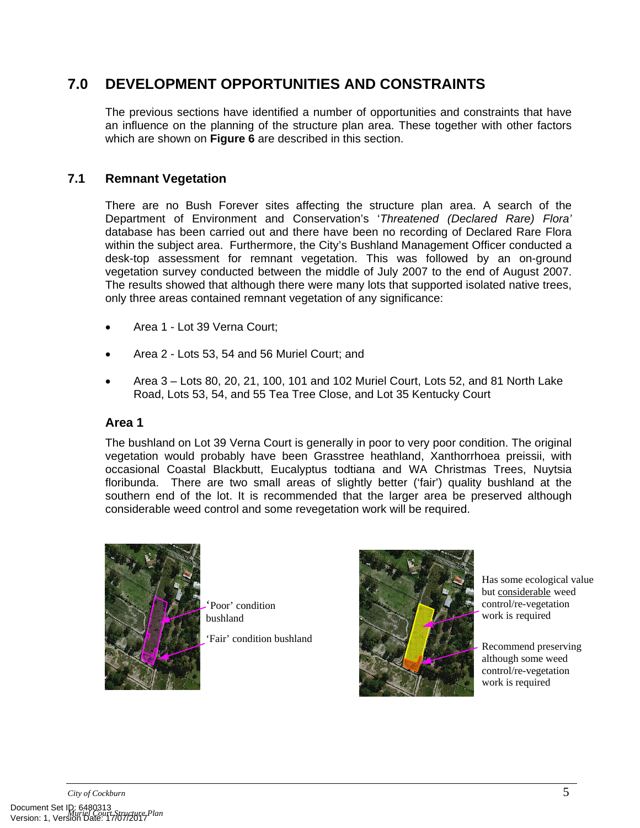## <span id="page-7-1"></span><span id="page-7-0"></span>**7.0 DEVELOPMENT OPPORTUNITIES AND CONSTRAINTS**

The previous sections have identified a number of opportunities and constraints that have an influence on the planning of the structure plan area. These together with other factors which are shown on **Figure 6** are described in this section.

## <span id="page-7-2"></span>**7.1 Remnant Vegetation**

There are no Bush Forever sites affecting the structure plan area. A search of the Department of Environment and Conservation's '*Threatened (Declared Rare) Flora'* database has been carried out and there have been no recording of Declared Rare Flora within the subject area. Furthermore, the City's Bushland Management Officer conducted a desk-top assessment for remnant vegetation. This was followed by an on-ground vegetation survey conducted between the middle of July 2007 to the end of August 2007. The results showed that although there were many lots that supported isolated native trees, only three areas contained remnant vegetation of any significance:

- Area 1 Lot 39 Verna Court;
- Area 2 Lots 53, 54 and 56 Muriel Court; and
- Area 3 Lots 80, 20, 21, 100, 101 and 102 Muriel Court, Lots 52, and 81 North Lake Road, Lots 53, 54, and 55 Tea Tree Close, and Lot 35 Kentucky Court

## **Area 1**

The bushland on Lot 39 Verna Court is generally in poor to very poor condition. The original vegetation would probably have been Grasstree heathland, Xanthorrhoea preissii, with occasional Coastal Blackbutt, Eucalyptus todtiana and WA Christmas Trees, Nuytsia floribunda. There are two small areas of slightly better ('fair') quality bushland at the southern end of the lot. It is recommended that the larger area be preserved although considerable weed control and some revegetation work will be required.



'Poor' condition bushland

'Fair' condition bushland



Has some ecological value but considerable weed control/re-vegetation work is required

Recommend preserving although some weed control/re-vegetation work is required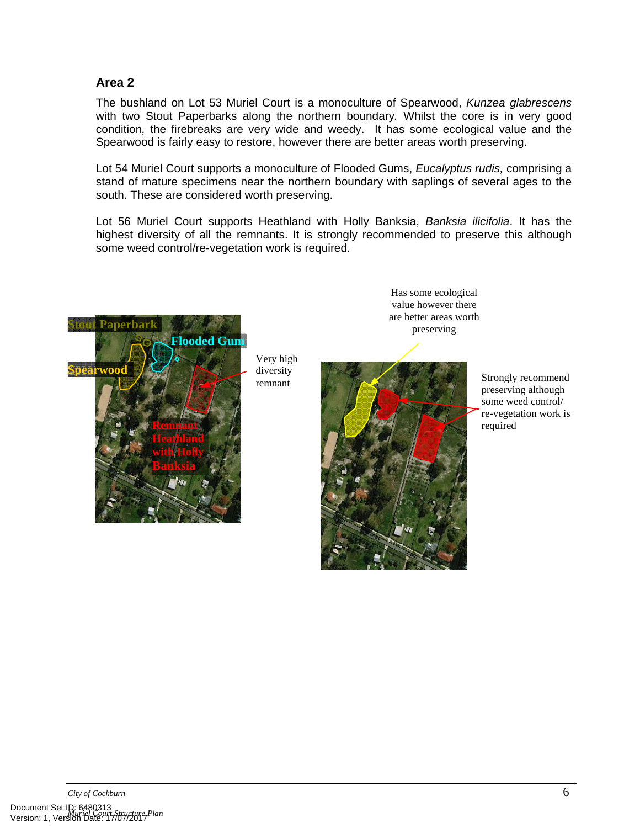## **Area 2**

The bushland on Lot 53 Muriel Court is a monoculture of Spearwood, *Kunzea glabrescens*  with two Stout Paperbarks along the northern boundary*.* Whilst the core is in very good condition*,* the firebreaks are very wide and weedy. It has some ecological value and the Spearwood is fairly easy to restore, however there are better areas worth preserving.

Lot 54 Muriel Court supports a monoculture of Flooded Gums, *Eucalyptus rudis,* comprising a stand of mature specimens near the northern boundary with saplings of several ages to the south. These are considered worth preserving.

Lot 56 Muriel Court supports Heathland with Holly Banksia, *Banksia ilicifolia*. It has the highest diversity of all the remnants. It is strongly recommended to preserve this although some weed control/re-vegetation work is required.



Very high diversity remnant

Has some ecological value however there are better areas worth preserving



Strongly recommend preserving although some weed control/ re-vegetation work is required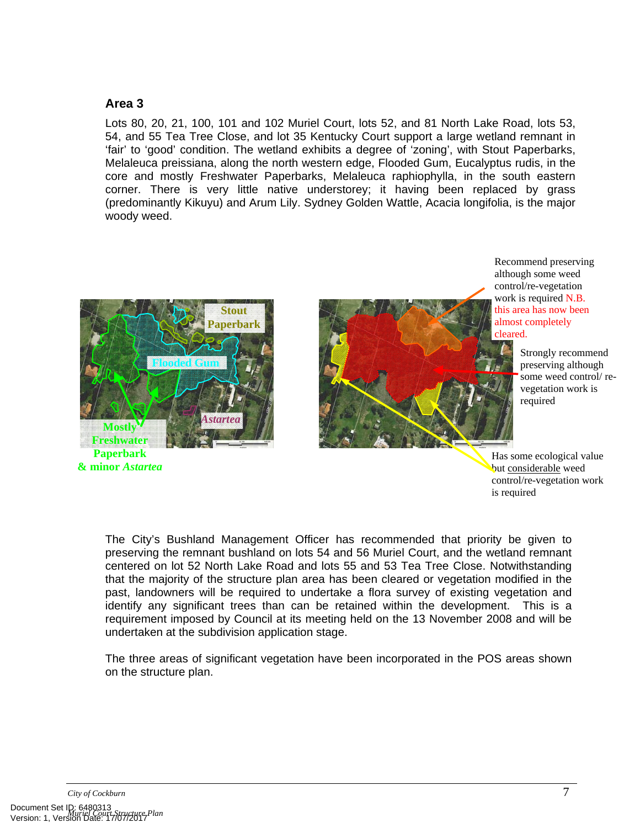### **Area 3**

Lots 80, 20, 21, 100, 101 and 102 Muriel Court, lots 52, and 81 North Lake Road, lots 53, 54, and 55 Tea Tree Close, and lot 35 Kentucky Court support a large wetland remnant in 'fair' to 'good' condition. The wetland exhibits a degree of 'zoning', with Stout Paperbarks, Melaleuca preissiana, along the north western edge, Flooded Gum, Eucalyptus rudis, in the core and mostly Freshwater Paperbarks, Melaleuca raphiophylla, in the south eastern corner. There is very little native understorey; it having been replaced by grass (predominantly Kikuyu) and Arum Lily. Sydney Golden Wattle, Acacia longifolia, is the major woody weed.



**& minor** *Astartea*



Recommend preserving although some weed control/re-vegetation work is required N.B. this area has now been almost completely cleared.

> Strongly recommend preserving although some weed control/ revegetation work is required

Has some ecological value but considerable weed control/re-vegetation work is required

The City's Bushland Management Officer has recommended that priority be given to preserving the remnant bushland on lots 54 and 56 Muriel Court, and the wetland remnant centered on lot 52 North Lake Road and lots 55 and 53 Tea Tree Close. Notwithstanding that the majority of the structure plan area has been cleared or vegetation modified in the past, landowners will be required to undertake a flora survey of existing vegetation and identify any significant trees than can be retained within the development. This is a requirement imposed by Council at its meeting held on the 13 November 2008 and will be undertaken at the subdivision application stage.

The three areas of significant vegetation have been incorporated in the POS areas shown on the structure plan.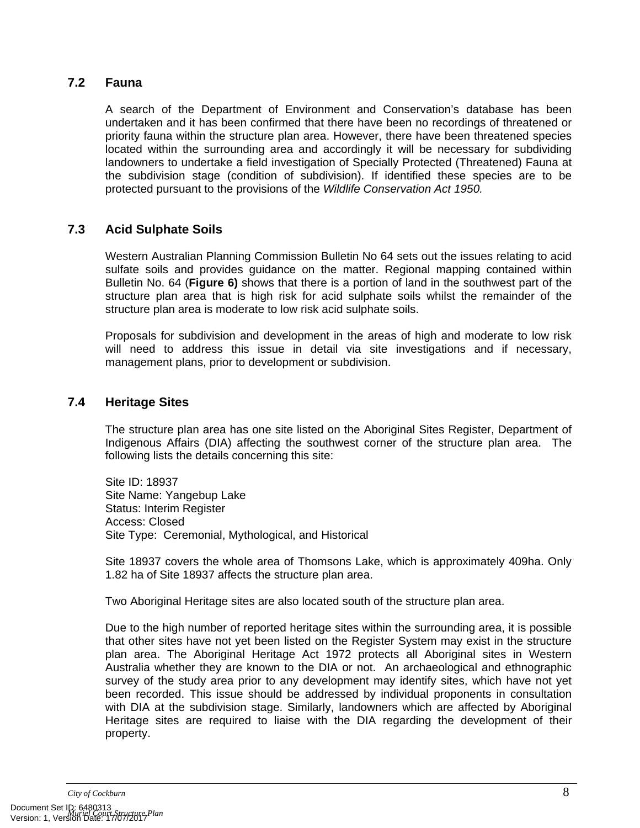## <span id="page-10-1"></span><span id="page-10-0"></span>**7.2 Fauna**

A search of the Department of Environment and Conservation's database has been undertaken and it has been confirmed that there have been no recordings of threatened or priority fauna within the structure plan area. However, there have been threatened species located within the surrounding area and accordingly it will be necessary for subdividing landowners to undertake a field investigation of Specially Protected (Threatened) Fauna at the subdivision stage (condition of subdivision). If identified these species are to be protected pursuant to the provisions of the *Wildlife Conservation Act 1950.* 

## <span id="page-10-2"></span>**7.3 Acid Sulphate Soils**

Western Australian Planning Commission Bulletin No 64 sets out the issues relating to acid sulfate soils and provides guidance on the matter. Regional mapping contained within Bulletin No. 64 (**Figure 6)** shows that there is a portion of land in the southwest part of the structure plan area that is high risk for acid sulphate soils whilst the remainder of the structure plan area is moderate to low risk acid sulphate soils.

Proposals for subdivision and development in the areas of high and moderate to low risk will need to address this issue in detail via site investigations and if necessary, management plans, prior to development or subdivision.

## <span id="page-10-3"></span>**7.4 Heritage Sites**

The structure plan area has one site listed on the Aboriginal Sites Register, Department of Indigenous Affairs (DIA) affecting the southwest corner of the structure plan area. The following lists the details concerning this site:

Site ID: 18937 Site Name: Yangebup Lake Status: Interim Register Access: Closed Site Type: Ceremonial, Mythological, and Historical

Site 18937 covers the whole area of Thomsons Lake, which is approximately 409ha. Only 1.82 ha of Site 18937 affects the structure plan area.

Two Aboriginal Heritage sites are also located south of the structure plan area.

Due to the high number of reported heritage sites within the surrounding area, it is possible that other sites have not yet been listed on the Register System may exist in the structure plan area. The Aboriginal Heritage Act 1972 protects all Aboriginal sites in Western Australia whether they are known to the DIA or not. An archaeological and ethnographic survey of the study area prior to any development may identify sites, which have not yet been recorded. This issue should be addressed by individual proponents in consultation with DIA at the subdivision stage. Similarly, landowners which are affected by Aboriginal Heritage sites are required to liaise with the DIA regarding the development of their property.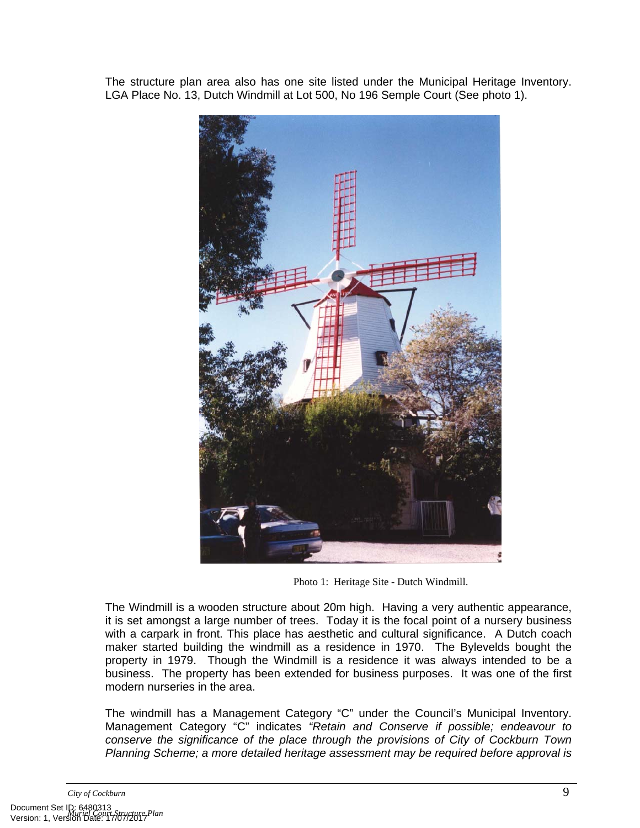The structure plan area also has one site listed under the Municipal Heritage Inventory. LGA Place No. 13, Dutch Windmill at Lot 500, No 196 Semple Court (See photo 1).



Photo 1: Heritage Site - Dutch Windmill.

The Windmill is a wooden structure about 20m high. Having a very authentic appearance, it is set amongst a large number of trees. Today it is the focal point of a nursery business with a carpark in front. This place has aesthetic and cultural significance. A Dutch coach maker started building the windmill as a residence in 1970. The Bylevelds bought the property in 1979. Though the Windmill is a residence it was always intended to be a business. The property has been extended for business purposes. It was one of the first modern nurseries in the area.

The windmill has a Management Category "C" under the Council's Municipal Inventory. Management Category "C" indicates *"Retain and Conserve if possible; endeavour to conserve the significance of the place through the provisions of City of Cockburn Town Planning Scheme; a more detailed heritage assessment may be required before approval is*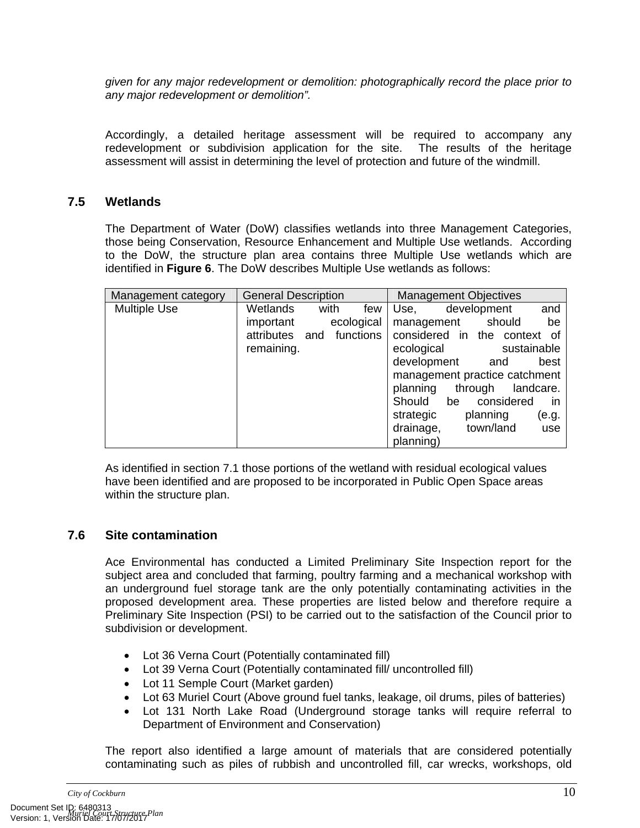<span id="page-12-0"></span>*given for any major redevelopment or demolition: photographically record the place prior to any major redevelopment or demolition".*

Accordingly, a detailed heritage assessment will be required to accompany any redevelopment or subdivision application for the site. The results of the heritage assessment will assist in determining the level of protection and future of the windmill.

### <span id="page-12-1"></span>**7.5 Wetlands**

The Department of Water (DoW) classifies wetlands into three Management Categories, those being Conservation, Resource Enhancement and Multiple Use wetlands. According to the DoW, the structure plan area contains three Multiple Use wetlands which are identified in **Figure 6**. The DoW describes Multiple Use wetlands as follows:

| Management category | <b>General Description</b>     | <b>Management Objectives</b>      |  |  |
|---------------------|--------------------------------|-----------------------------------|--|--|
| <b>Multiple Use</b> | Wetlands<br>with<br>few        | development<br>and<br>Use,        |  |  |
|                     | ecological<br>important        | should<br>be<br>management        |  |  |
|                     | functions<br>attributes<br>and | considered in the context of      |  |  |
|                     | remaining.                     | ecological<br>sustainable         |  |  |
|                     |                                | development<br>best<br>and        |  |  |
|                     |                                | management practice catchment     |  |  |
|                     |                                | planning<br>through<br>landcare.  |  |  |
|                     |                                | considered<br>Should<br>be<br>-in |  |  |
|                     |                                | strategic<br>planning<br>(e.g.    |  |  |
|                     |                                | drainage,<br>town/land<br>use     |  |  |
|                     |                                | planning)                         |  |  |

As identified in section 7.1 those portions of the wetland with residual ecological values have been identified and are proposed to be incorporated in Public Open Space areas within the structure plan.

### <span id="page-12-2"></span>**7.6 Site contamination**

Ace Environmental has conducted a Limited Preliminary Site Inspection report for the subject area and concluded that farming, poultry farming and a mechanical workshop with an underground fuel storage tank are the only potentially contaminating activities in the proposed development area. These properties are listed below and therefore require a Preliminary Site Inspection (PSI) to be carried out to the satisfaction of the Council prior to subdivision or development.

- Lot 36 Verna Court (Potentially contaminated fill)
- Lot 39 Verna Court (Potentially contaminated fill/ uncontrolled fill)
- Lot 11 Semple Court (Market garden)
- Lot 63 Muriel Court (Above ground fuel tanks, leakage, oil drums, piles of batteries)
- Lot 131 North Lake Road (Underground storage tanks will require referral to Department of Environment and Conservation)

The report also identified a large amount of materials that are considered potentially contaminating such as piles of rubbish and uncontrolled fill, car wrecks, workshops, old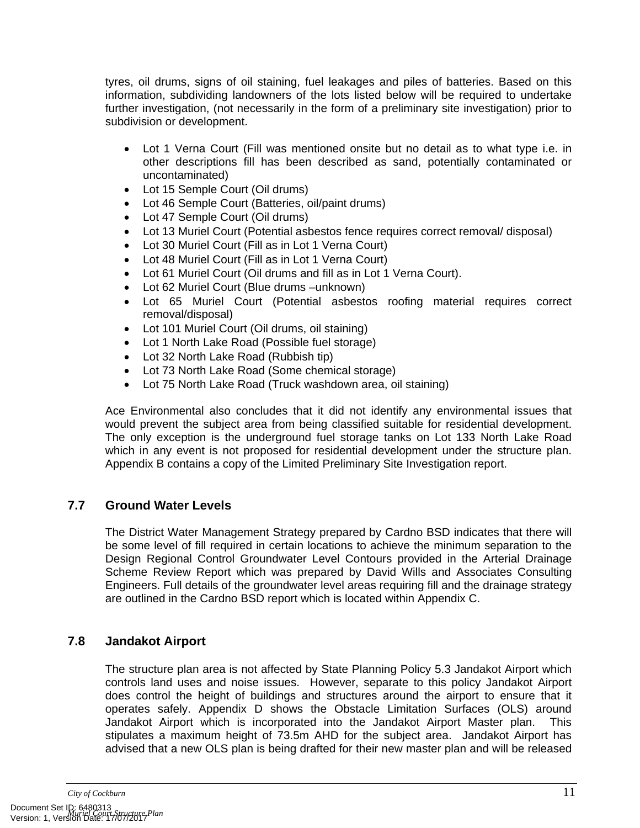<span id="page-13-0"></span>tyres, oil drums, signs of oil staining, fuel leakages and piles of batteries. Based on this information, subdividing landowners of the lots listed below will be required to undertake further investigation, (not necessarily in the form of a preliminary site investigation) prior to subdivision or development.

- Lot 1 Verna Court (Fill was mentioned onsite but no detail as to what type i.e. in other descriptions fill has been described as sand, potentially contaminated or uncontaminated)
- Lot 15 Semple Court (Oil drums)
- Lot 46 Semple Court (Batteries, oil/paint drums)
- Lot 47 Semple Court (Oil drums)
- Lot 13 Muriel Court (Potential asbestos fence requires correct removal/ disposal)
- Lot 30 Muriel Court (Fill as in Lot 1 Verna Court)
- Lot 48 Muriel Court (Fill as in Lot 1 Verna Court)
- Lot 61 Muriel Court (Oil drums and fill as in Lot 1 Verna Court).
- Lot 62 Muriel Court (Blue drums –unknown)
- Lot 65 Muriel Court (Potential asbestos roofing material requires correct removal/disposal)
- Lot 101 Muriel Court (Oil drums, oil staining)
- Lot 1 North Lake Road (Possible fuel storage)
- Lot 32 North Lake Road (Rubbish tip)
- Lot 73 North Lake Road (Some chemical storage)
- Lot 75 North Lake Road (Truck washdown area, oil staining)

Ace Environmental also concludes that it did not identify any environmental issues that would prevent the subject area from being classified suitable for residential development. The only exception is the underground fuel storage tanks on Lot 133 North Lake Road which in any event is not proposed for residential development under the structure plan. Appendix B contains a copy of the Limited Preliminary Site Investigation report.

## <span id="page-13-1"></span>**7.7 Ground Water Levels**

The District Water Management Strategy prepared by Cardno BSD indicates that there will be some level of fill required in certain locations to achieve the minimum separation to the Design Regional Control Groundwater Level Contours provided in the Arterial Drainage Scheme Review Report which was prepared by David Wills and Associates Consulting Engineers. Full details of the groundwater level areas requiring fill and the drainage strategy are outlined in the Cardno BSD report which is located within Appendix C.

## <span id="page-13-2"></span>**7.8 Jandakot Airport**

The structure plan area is not affected by State Planning Policy 5.3 Jandakot Airport which controls land uses and noise issues. However, separate to this policy Jandakot Airport does control the height of buildings and structures around the airport to ensure that it operates safely. Appendix D shows the Obstacle Limitation Surfaces (OLS) around Jandakot Airport which is incorporated into the Jandakot Airport Master plan. This stipulates a maximum height of 73.5m AHD for the subject area. Jandakot Airport has advised that a new OLS plan is being drafted for their new master plan and will be released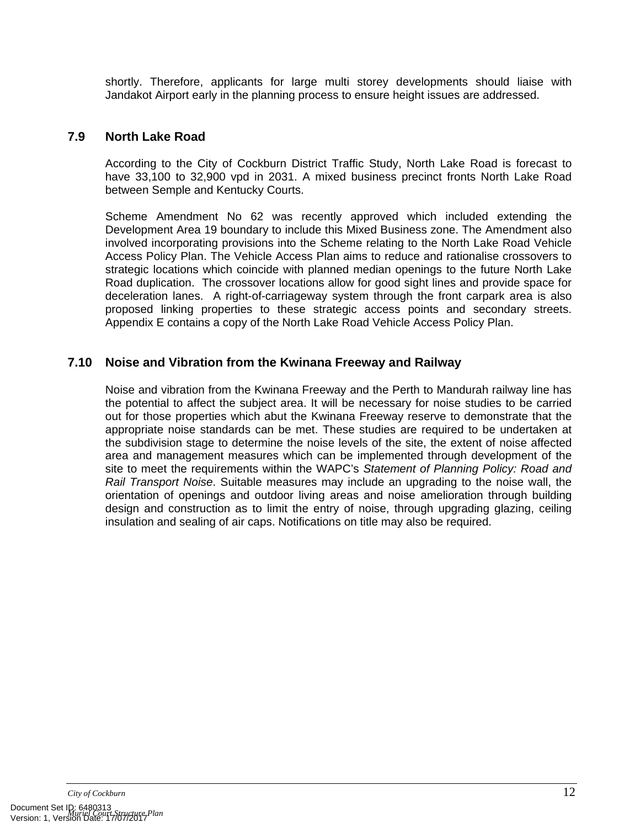<span id="page-14-0"></span>shortly. Therefore, applicants for large multi storey developments should liaise with Jandakot Airport early in the planning process to ensure height issues are addressed.

## <span id="page-14-1"></span>**7.9 North Lake Road**

According to the City of Cockburn District Traffic Study, North Lake Road is forecast to have 33,100 to 32,900 vpd in 2031. A mixed business precinct fronts North Lake Road between Semple and Kentucky Courts.

Scheme Amendment No 62 was recently approved which included extending the Development Area 19 boundary to include this Mixed Business zone. The Amendment also involved incorporating provisions into the Scheme relating to the North Lake Road Vehicle Access Policy Plan. The Vehicle Access Plan aims to reduce and rationalise crossovers to strategic locations which coincide with planned median openings to the future North Lake Road duplication. The crossover locations allow for good sight lines and provide space for deceleration lanes. A right-of-carriageway system through the front carpark area is also proposed linking properties to these strategic access points and secondary streets. Appendix E contains a copy of the North Lake Road Vehicle Access Policy Plan.

## <span id="page-14-2"></span>**7.10 Noise and Vibration from the Kwinana Freeway and Railway**

 Noise and vibration from the Kwinana Freeway and the Perth to Mandurah railway line has the potential to affect the subject area. It will be necessary for noise studies to be carried out for those properties which abut the Kwinana Freeway reserve to demonstrate that the appropriate noise standards can be met. These studies are required to be undertaken at the subdivision stage to determine the noise levels of the site, the extent of noise affected area and management measures which can be implemented through development of the site to meet the requirements within the WAPC's *Statement of Planning Policy: Road and Rail Transport Noise*. Suitable measures may include an upgrading to the noise wall, the orientation of openings and outdoor living areas and noise amelioration through building design and construction as to limit the entry of noise, through upgrading glazing, ceiling insulation and sealing of air caps. Notifications on title may also be required.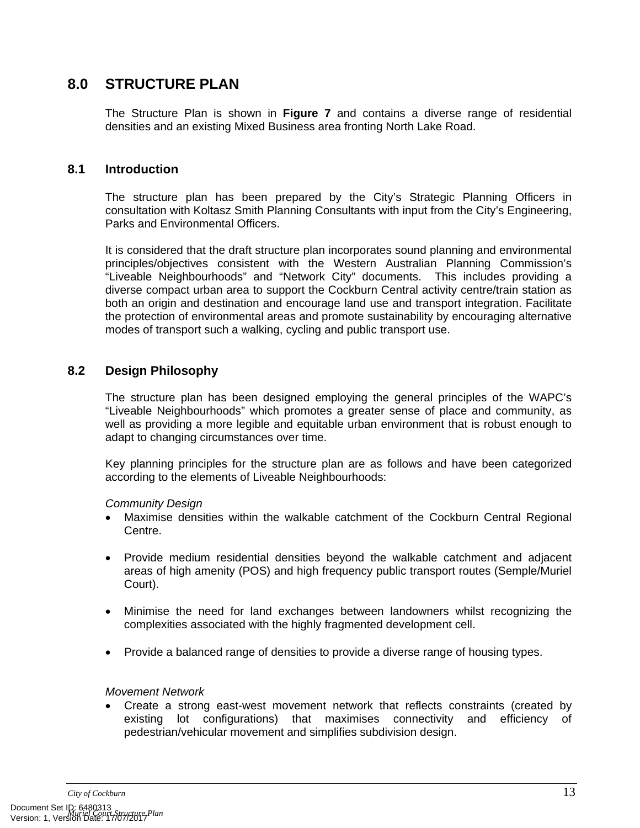## <span id="page-15-1"></span><span id="page-15-0"></span>**8.0 STRUCTURE PLAN**

The Structure Plan is shown in **Figure 7** and contains a diverse range of residential densities and an existing Mixed Business area fronting North Lake Road.

### <span id="page-15-2"></span>**8.1 Introduction**

The structure plan has been prepared by the City's Strategic Planning Officers in consultation with Koltasz Smith Planning Consultants with input from the City's Engineering, Parks and Environmental Officers.

It is considered that the draft structure plan incorporates sound planning and environmental principles/objectives consistent with the Western Australian Planning Commission's "Liveable Neighbourhoods" and "Network City" documents. This includes providing a diverse compact urban area to support the Cockburn Central activity centre/train station as both an origin and destination and encourage land use and transport integration. Facilitate the protection of environmental areas and promote sustainability by encouraging alternative modes of transport such a walking, cycling and public transport use.

## <span id="page-15-3"></span>**8.2 Design Philosophy**

The structure plan has been designed employing the general principles of the WAPC's "Liveable Neighbourhoods" which promotes a greater sense of place and community, as well as providing a more legible and equitable urban environment that is robust enough to adapt to changing circumstances over time.

Key planning principles for the structure plan are as follows and have been categorized according to the elements of Liveable Neighbourhoods:

#### *Community Design*

- Maximise densities within the walkable catchment of the Cockburn Central Regional Centre.
- Provide medium residential densities beyond the walkable catchment and adjacent areas of high amenity (POS) and high frequency public transport routes (Semple/Muriel Court).
- Minimise the need for land exchanges between landowners whilst recognizing the complexities associated with the highly fragmented development cell.
- Provide a balanced range of densities to provide a diverse range of housing types.

#### *Movement Network*

• Create a strong east-west movement network that reflects constraints (created by existing lot configurations) that maximises connectivity and efficiency of pedestrian/vehicular movement and simplifies subdivision design.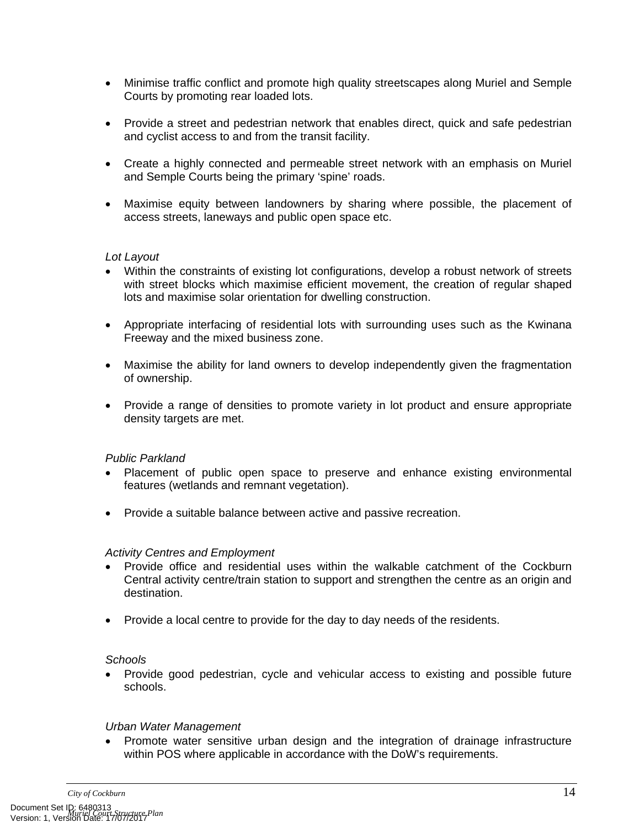- Minimise traffic conflict and promote high quality streetscapes along Muriel and Semple Courts by promoting rear loaded lots.
- Provide a street and pedestrian network that enables direct, quick and safe pedestrian and cyclist access to and from the transit facility.
- Create a highly connected and permeable street network with an emphasis on Muriel and Semple Courts being the primary 'spine' roads.
- Maximise equity between landowners by sharing where possible, the placement of access streets, laneways and public open space etc.

#### *Lot Layout*

- Within the constraints of existing lot configurations, develop a robust network of streets with street blocks which maximise efficient movement, the creation of regular shaped lots and maximise solar orientation for dwelling construction.
- Appropriate interfacing of residential lots with surrounding uses such as the Kwinana Freeway and the mixed business zone.
- Maximise the ability for land owners to develop independently given the fragmentation of ownership.
- Provide a range of densities to promote variety in lot product and ensure appropriate density targets are met.

#### *Public Parkland*

- Placement of public open space to preserve and enhance existing environmental features (wetlands and remnant vegetation).
- Provide a suitable balance between active and passive recreation.

#### *Activity Centres and Employment*

- Provide office and residential uses within the walkable catchment of the Cockburn Central activity centre/train station to support and strengthen the centre as an origin and destination.
- Provide a local centre to provide for the day to day needs of the residents.

#### *Schools*

• Provide good pedestrian, cycle and vehicular access to existing and possible future schools.

#### *Urban Water Management*

• Promote water sensitive urban design and the integration of drainage infrastructure within POS where applicable in accordance with the DoW's requirements.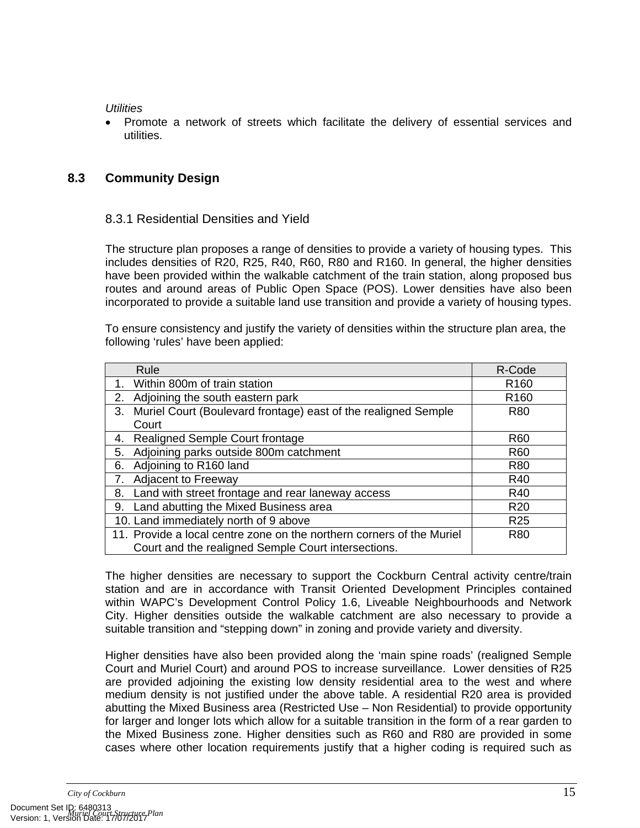<span id="page-17-0"></span>*Utilities* 

• Promote a network of streets which facilitate the delivery of essential services and utilities.

## <span id="page-17-2"></span><span id="page-17-1"></span>**8.3 Community Design**

### 8.3.1 Residential Densities and Yield

The structure plan proposes a range of densities to provide a variety of housing types. This includes densities of R20, R25, R40, R60, R80 and R160. In general, the higher densities have been provided within the walkable catchment of the train station, along proposed bus routes and around areas of Public Open Space (POS). Lower densities have also been incorporated to provide a suitable land use transition and provide a variety of housing types.

To ensure consistency and justify the variety of densities within the structure plan area, the following 'rules' have been applied:

| Rule                                                                  | R-Code           |
|-----------------------------------------------------------------------|------------------|
| Within 800m of train station                                          | R <sub>160</sub> |
| Adjoining the south eastern park<br>2.                                | R <sub>160</sub> |
| Muriel Court (Boulevard frontage) east of the realigned Semple<br>3.  | R <sub>80</sub>  |
| Court                                                                 |                  |
| Realigned Semple Court frontage<br>4.                                 | <b>R60</b>       |
| Adjoining parks outside 800m catchment<br>5.                          | R <sub>60</sub>  |
| Adjoining to R160 land<br>6.                                          | <b>R80</b>       |
| Adjacent to Freeway                                                   | R40              |
| Land with street frontage and rear laneway access<br>8.               | R40              |
| Land abutting the Mixed Business area<br>9.                           | R <sub>20</sub>  |
| 10. Land immediately north of 9 above                                 | R <sub>25</sub>  |
| 11. Provide a local centre zone on the northern corners of the Muriel | <b>R80</b>       |
| Court and the realigned Semple Court intersections.                   |                  |

The higher densities are necessary to support the Cockburn Central activity centre/train station and are in accordance with Transit Oriented Development Principles contained within WAPC's Development Control Policy 1.6, Liveable Neighbourhoods and Network City. Higher densities outside the walkable catchment are also necessary to provide a suitable transition and "stepping down" in zoning and provide variety and diversity.

Higher densities have also been provided along the 'main spine roads' (realigned Semple Court and Muriel Court) and around POS to increase surveillance. Lower densities of R25 are provided adjoining the existing low density residential area to the west and where medium density is not justified under the above table. A residential R20 area is provided abutting the Mixed Business area (Restricted Use – Non Residential) to provide opportunity for larger and longer lots which allow for a suitable transition in the form of a rear garden to the Mixed Business zone. Higher densities such as R60 and R80 are provided in some cases where other location requirements justify that a higher coding is required such as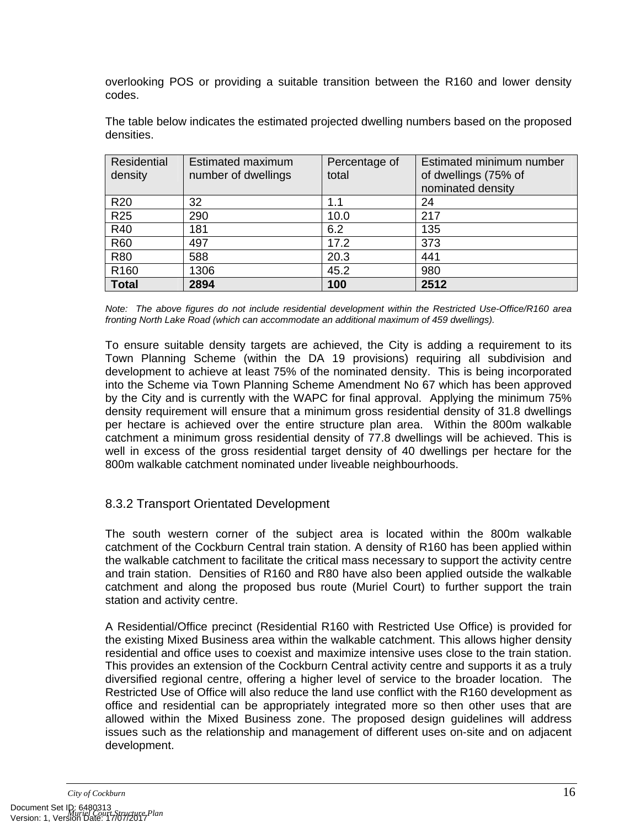<span id="page-18-0"></span>overlooking POS or providing a suitable transition between the R160 and lower density codes.

| Residential<br>density | Estimated maximum<br>number of dwellings | Percentage of<br>total | Estimated minimum number<br>of dwellings (75% of<br>nominated density |
|------------------------|------------------------------------------|------------------------|-----------------------------------------------------------------------|
| R <sub>20</sub>        | 32                                       | 1.1                    | 24                                                                    |
| <b>R25</b>             | 290                                      | 10.0                   | 217                                                                   |
| R40                    | 181                                      | 6.2                    | 135                                                                   |
| R60                    | 497                                      | 17.2                   | 373                                                                   |
| R80                    | 588                                      | 20.3                   | 441                                                                   |
| R <sub>160</sub>       | 1306                                     | 45.2                   | 980                                                                   |
| <b>Total</b>           | 2894                                     | 100                    | 2512                                                                  |

The table below indicates the estimated projected dwelling numbers based on the proposed densities.

*Note: The above figures do not include residential development within the Restricted Use-Office/R160 area fronting North Lake Road (which can accommodate an additional maximum of 459 dwellings).* 

To ensure suitable density targets are achieved, the City is adding a requirement to its Town Planning Scheme (within the DA 19 provisions) requiring all subdivision and development to achieve at least 75% of the nominated density. This is being incorporated into the Scheme via Town Planning Scheme Amendment No 67 which has been approved by the City and is currently with the WAPC for final approval. Applying the minimum 75% density requirement will ensure that a minimum gross residential density of 31.8 dwellings per hectare is achieved over the entire structure plan area. Within the 800m walkable catchment a minimum gross residential density of 77.8 dwellings will be achieved. This is well in excess of the gross residential target density of 40 dwellings per hectare for the 800m walkable catchment nominated under liveable neighbourhoods.

## <span id="page-18-1"></span>8.3.2 Transport Orientated Development

The south western corner of the subject area is located within the 800m walkable catchment of the Cockburn Central train station. A density of R160 has been applied within the walkable catchment to facilitate the critical mass necessary to support the activity centre and train station. Densities of R160 and R80 have also been applied outside the walkable catchment and along the proposed bus route (Muriel Court) to further support the train station and activity centre.

A Residential/Office precinct (Residential R160 with Restricted Use Office) is provided for the existing Mixed Business area within the walkable catchment. This allows higher density residential and office uses to coexist and maximize intensive uses close to the train station. This provides an extension of the Cockburn Central activity centre and supports it as a truly diversified regional centre, offering a higher level of service to the broader location. The Restricted Use of Office will also reduce the land use conflict with the R160 development as office and residential can be appropriately integrated more so then other uses that are allowed within the Mixed Business zone. The proposed design guidelines will address issues such as the relationship and management of different uses on-site and on adjacent development.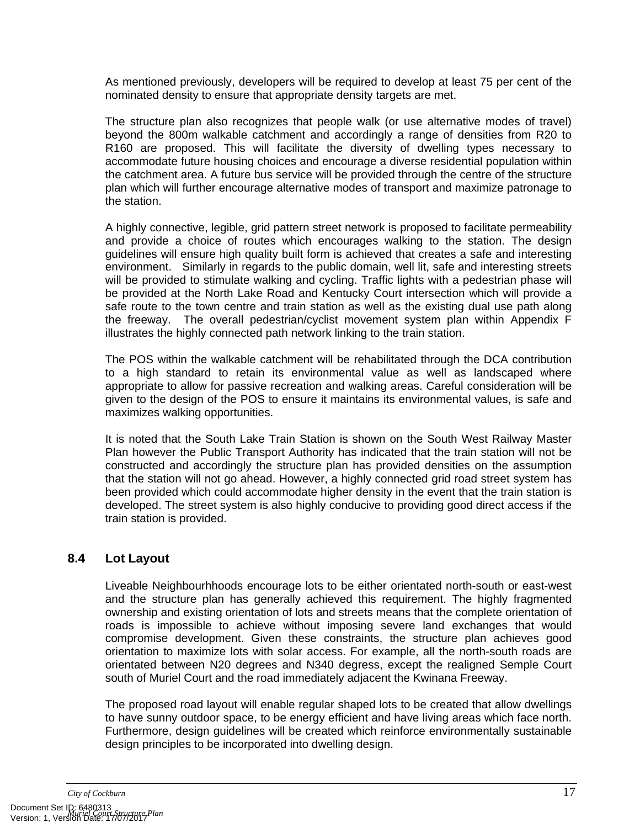<span id="page-19-0"></span>As mentioned previously, developers will be required to develop at least 75 per cent of the nominated density to ensure that appropriate density targets are met.

The structure plan also recognizes that people walk (or use alternative modes of travel) beyond the 800m walkable catchment and accordingly a range of densities from R20 to R160 are proposed. This will facilitate the diversity of dwelling types necessary to accommodate future housing choices and encourage a diverse residential population within the catchment area. A future bus service will be provided through the centre of the structure plan which will further encourage alternative modes of transport and maximize patronage to the station.

A highly connective, legible, grid pattern street network is proposed to facilitate permeability and provide a choice of routes which encourages walking to the station. The design guidelines will ensure high quality built form is achieved that creates a safe and interesting environment. Similarly in regards to the public domain, well lit, safe and interesting streets will be provided to stimulate walking and cycling. Traffic lights with a pedestrian phase will be provided at the North Lake Road and Kentucky Court intersection which will provide a safe route to the town centre and train station as well as the existing dual use path along the freeway. The overall pedestrian/cyclist movement system plan within Appendix F illustrates the highly connected path network linking to the train station.

The POS within the walkable catchment will be rehabilitated through the DCA contribution to a high standard to retain its environmental value as well as landscaped where appropriate to allow for passive recreation and walking areas. Careful consideration will be given to the design of the POS to ensure it maintains its environmental values, is safe and maximizes walking opportunities.

It is noted that the South Lake Train Station is shown on the South West Railway Master Plan however the Public Transport Authority has indicated that the train station will not be constructed and accordingly the structure plan has provided densities on the assumption that the station will not go ahead. However, a highly connected grid road street system has been provided which could accommodate higher density in the event that the train station is developed. The street system is also highly conducive to providing good direct access if the train station is provided.

## <span id="page-19-1"></span>**8.4 Lot Layout**

Liveable Neighbourhhoods encourage lots to be either orientated north-south or east-west and the structure plan has generally achieved this requirement. The highly fragmented ownership and existing orientation of lots and streets means that the complete orientation of roads is impossible to achieve without imposing severe land exchanges that would compromise development. Given these constraints, the structure plan achieves good orientation to maximize lots with solar access. For example, all the north-south roads are orientated between N20 degrees and N340 degress, except the realigned Semple Court south of Muriel Court and the road immediately adjacent the Kwinana Freeway.

The proposed road layout will enable regular shaped lots to be created that allow dwellings to have sunny outdoor space, to be energy efficient and have living areas which face north. Furthermore, design guidelines will be created which reinforce environmentally sustainable design principles to be incorporated into dwelling design.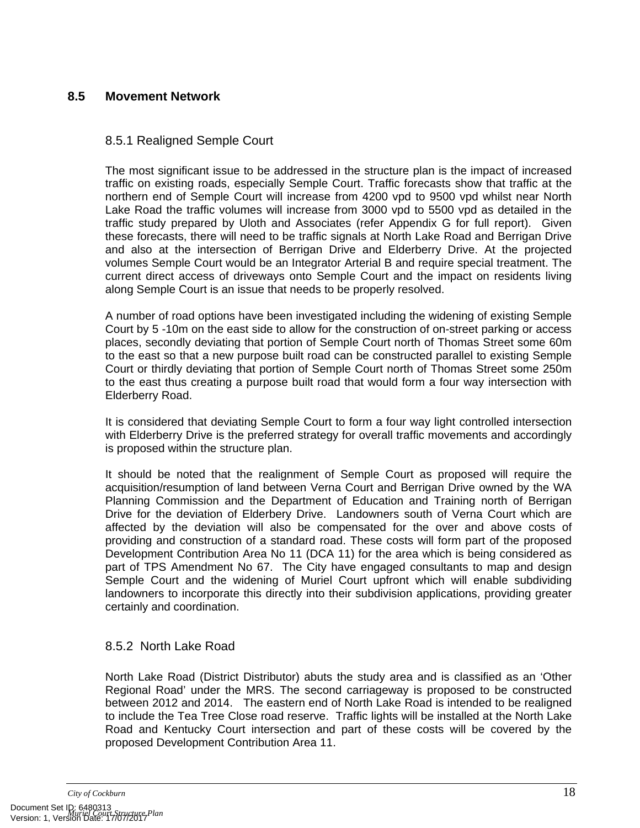## <span id="page-20-2"></span><span id="page-20-1"></span><span id="page-20-0"></span>**8.5 Movement Network**

## 8.5.1 Realigned Semple Court

The most significant issue to be addressed in the structure plan is the impact of increased traffic on existing roads, especially Semple Court. Traffic forecasts show that traffic at the northern end of Semple Court will increase from 4200 vpd to 9500 vpd whilst near North Lake Road the traffic volumes will increase from 3000 vpd to 5500 vpd as detailed in the traffic study prepared by Uloth and Associates (refer Appendix G for full report). Given these forecasts, there will need to be traffic signals at North Lake Road and Berrigan Drive and also at the intersection of Berrigan Drive and Elderberry Drive. At the projected volumes Semple Court would be an Integrator Arterial B and require special treatment. The current direct access of driveways onto Semple Court and the impact on residents living along Semple Court is an issue that needs to be properly resolved.

A number of road options have been investigated including the widening of existing Semple Court by 5 -10m on the east side to allow for the construction of on-street parking or access places, secondly deviating that portion of Semple Court north of Thomas Street some 60m to the east so that a new purpose built road can be constructed parallel to existing Semple Court or thirdly deviating that portion of Semple Court north of Thomas Street some 250m to the east thus creating a purpose built road that would form a four way intersection with Elderberry Road.

It is considered that deviating Semple Court to form a four way light controlled intersection with Elderberry Drive is the preferred strategy for overall traffic movements and accordingly is proposed within the structure plan.

It should be noted that the realignment of Semple Court as proposed will require the acquisition/resumption of land between Verna Court and Berrigan Drive owned by the WA Planning Commission and the Department of Education and Training north of Berrigan Drive for the deviation of Elderbery Drive. Landowners south of Verna Court which are affected by the deviation will also be compensated for the over and above costs of providing and construction of a standard road. These costs will form part of the proposed Development Contribution Area No 11 (DCA 11) for the area which is being considered as part of TPS Amendment No 67. The City have engaged consultants to map and design Semple Court and the widening of Muriel Court upfront which will enable subdividing landowners to incorporate this directly into their subdivision applications, providing greater certainly and coordination.

## <span id="page-20-3"></span>8.5.2 North Lake Road

North Lake Road (District Distributor) abuts the study area and is classified as an 'Other Regional Road' under the MRS. The second carriageway is proposed to be constructed between 2012 and 2014. The eastern end of North Lake Road is intended to be realigned to include the Tea Tree Close road reserve. Traffic lights will be installed at the North Lake Road and Kentucky Court intersection and part of these costs will be covered by the proposed Development Contribution Area 11.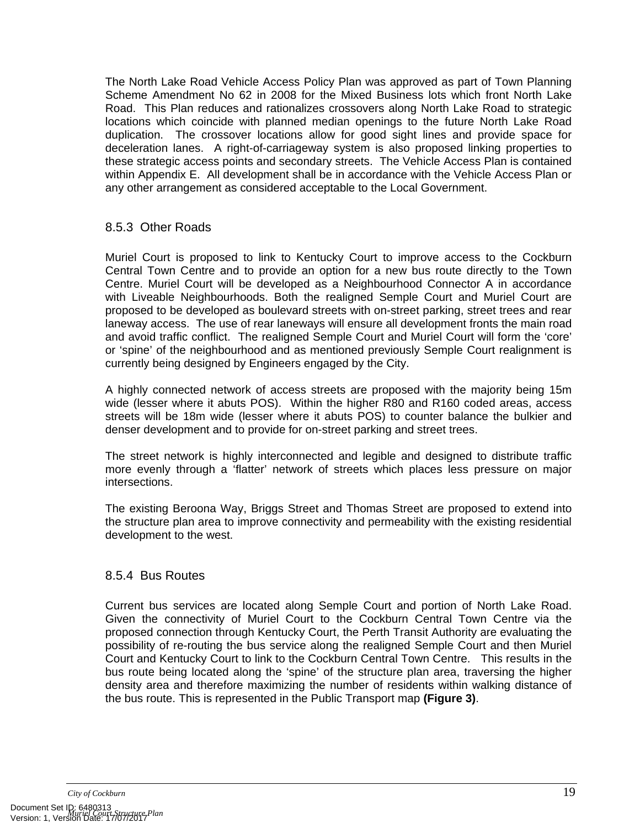<span id="page-21-0"></span>The North Lake Road Vehicle Access Policy Plan was approved as part of Town Planning Scheme Amendment No 62 in 2008 for the Mixed Business lots which front North Lake Road. This Plan reduces and rationalizes crossovers along North Lake Road to strategic locations which coincide with planned median openings to the future North Lake Road duplication. The crossover locations allow for good sight lines and provide space for deceleration lanes. A right-of-carriageway system is also proposed linking properties to these strategic access points and secondary streets. The Vehicle Access Plan is contained within Appendix E. All development shall be in accordance with the Vehicle Access Plan or any other arrangement as considered acceptable to the Local Government.

### <span id="page-21-1"></span>8.5.3 Other Roads

Muriel Court is proposed to link to Kentucky Court to improve access to the Cockburn Central Town Centre and to provide an option for a new bus route directly to the Town Centre. Muriel Court will be developed as a Neighbourhood Connector A in accordance with Liveable Neighbourhoods. Both the realigned Semple Court and Muriel Court are proposed to be developed as boulevard streets with on-street parking, street trees and rear laneway access. The use of rear laneways will ensure all development fronts the main road and avoid traffic conflict. The realigned Semple Court and Muriel Court will form the 'core' or 'spine' of the neighbourhood and as mentioned previously Semple Court realignment is currently being designed by Engineers engaged by the City.

A highly connected network of access streets are proposed with the majority being 15m wide (lesser where it abuts POS). Within the higher R80 and R160 coded areas, access streets will be 18m wide (lesser where it abuts POS) to counter balance the bulkier and denser development and to provide for on-street parking and street trees.

The street network is highly interconnected and legible and designed to distribute traffic more evenly through a 'flatter' network of streets which places less pressure on major intersections.

The existing Beroona Way, Briggs Street and Thomas Street are proposed to extend into the structure plan area to improve connectivity and permeability with the existing residential development to the west.

#### <span id="page-21-2"></span>8.5.4 Bus Routes

Current bus services are located along Semple Court and portion of North Lake Road. Given the connectivity of Muriel Court to the Cockburn Central Town Centre via the proposed connection through Kentucky Court, the Perth Transit Authority are evaluating the possibility of re-routing the bus service along the realigned Semple Court and then Muriel Court and Kentucky Court to link to the Cockburn Central Town Centre. This results in the bus route being located along the 'spine' of the structure plan area, traversing the higher density area and therefore maximizing the number of residents within walking distance of the bus route. This is represented in the Public Transport map **(Figure 3)**.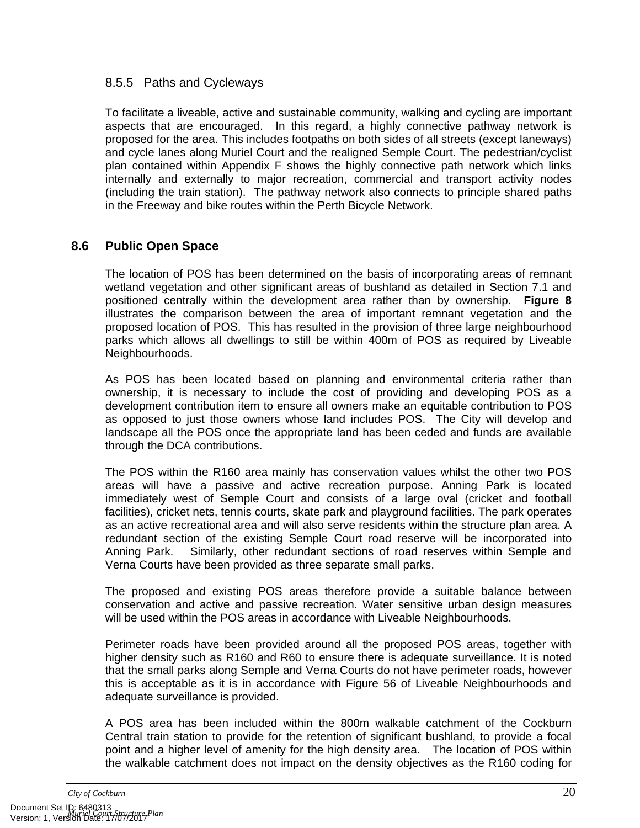### <span id="page-22-1"></span><span id="page-22-0"></span>8.5.5 Paths and Cycleways

To facilitate a liveable, active and sustainable community, walking and cycling are important aspects that are encouraged. In this regard, a highly connective pathway network is proposed for the area. This includes footpaths on both sides of all streets (except laneways) and cycle lanes along Muriel Court and the realigned Semple Court. The pedestrian/cyclist plan contained within Appendix F shows the highly connective path network which links internally and externally to major recreation, commercial and transport activity nodes (including the train station). The pathway network also connects to principle shared paths in the Freeway and bike routes within the Perth Bicycle Network.

## <span id="page-22-2"></span>**8.6 Public Open Space**

The location of POS has been determined on the basis of incorporating areas of remnant wetland vegetation and other significant areas of bushland as detailed in Section 7.1 and positioned centrally within the development area rather than by ownership. **Figure 8** illustrates the comparison between the area of important remnant vegetation and the proposed location of POS. This has resulted in the provision of three large neighbourhood parks which allows all dwellings to still be within 400m of POS as required by Liveable Neighbourhoods.

As POS has been located based on planning and environmental criteria rather than ownership, it is necessary to include the cost of providing and developing POS as a development contribution item to ensure all owners make an equitable contribution to POS as opposed to just those owners whose land includes POS. The City will develop and landscape all the POS once the appropriate land has been ceded and funds are available through the DCA contributions.

The POS within the R160 area mainly has conservation values whilst the other two POS areas will have a passive and active recreation purpose. Anning Park is located immediately west of Semple Court and consists of a large oval (cricket and football facilities), cricket nets, tennis courts, skate park and playground facilities. The park operates as an active recreational area and will also serve residents within the structure plan area. A redundant section of the existing Semple Court road reserve will be incorporated into Anning Park. Similarly, other redundant sections of road reserves within Semple and Verna Courts have been provided as three separate small parks.

The proposed and existing POS areas therefore provide a suitable balance between conservation and active and passive recreation. Water sensitive urban design measures will be used within the POS areas in accordance with Liveable Neighbourhoods.

Perimeter roads have been provided around all the proposed POS areas, together with higher density such as R160 and R60 to ensure there is adequate surveillance. It is noted that the small parks along Semple and Verna Courts do not have perimeter roads, however this is acceptable as it is in accordance with Figure 56 of Liveable Neighbourhoods and adequate surveillance is provided.

A POS area has been included within the 800m walkable catchment of the Cockburn Central train station to provide for the retention of significant bushland, to provide a focal point and a higher level of amenity for the high density area. The location of POS within the walkable catchment does not impact on the density objectives as the R160 coding for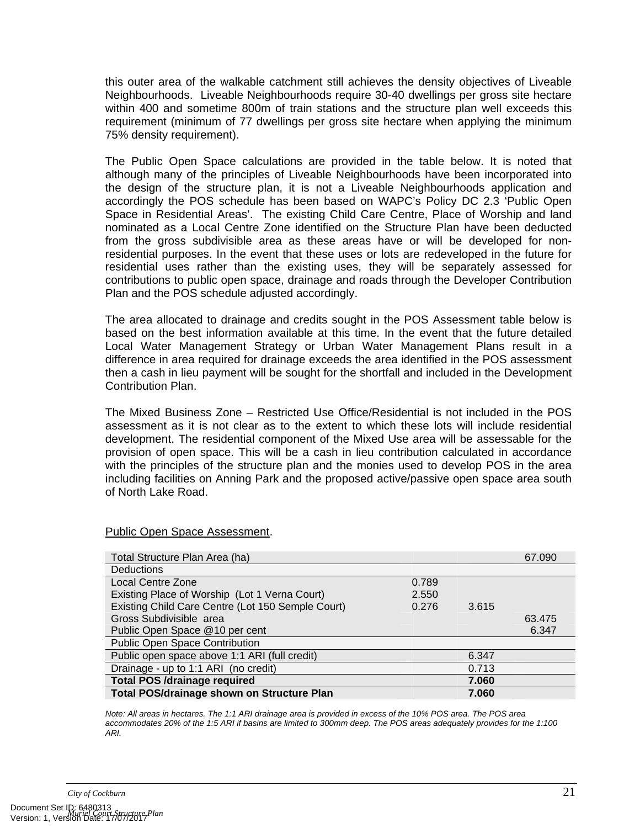this outer area of the walkable catchment still achieves the density objectives of Liveable Neighbourhoods. Liveable Neighbourhoods require 30-40 dwellings per gross site hectare within 400 and sometime 800m of train stations and the structure plan well exceeds this requirement (minimum of 77 dwellings per gross site hectare when applying the minimum 75% density requirement).

The Public Open Space calculations are provided in the table below. It is noted that although many of the principles of Liveable Neighbourhoods have been incorporated into the design of the structure plan, it is not a Liveable Neighbourhoods application and accordingly the POS schedule has been based on WAPC's Policy DC 2.3 'Public Open Space in Residential Areas'. The existing Child Care Centre, Place of Worship and land nominated as a Local Centre Zone identified on the Structure Plan have been deducted from the gross subdivisible area as these areas have or will be developed for nonresidential purposes. In the event that these uses or lots are redeveloped in the future for residential uses rather than the existing uses, they will be separately assessed for contributions to public open space, drainage and roads through the Developer Contribution Plan and the POS schedule adjusted accordingly.

The area allocated to drainage and credits sought in the POS Assessment table below is based on the best information available at this time. In the event that the future detailed Local Water Management Strategy or Urban Water Management Plans result in a difference in area required for drainage exceeds the area identified in the POS assessment then a cash in lieu payment will be sought for the shortfall and included in the Development Contribution Plan.

The Mixed Business Zone – Restricted Use Office/Residential is not included in the POS assessment as it is not clear as to the extent to which these lots will include residential development. The residential component of the Mixed Use area will be assessable for the provision of open space. This will be a cash in lieu contribution calculated in accordance with the principles of the structure plan and the monies used to develop POS in the area including facilities on Anning Park and the proposed active/passive open space area south of North Lake Road.

| Total Structure Plan Area (ha)                    |       |       | 67.090 |
|---------------------------------------------------|-------|-------|--------|
| <b>Deductions</b>                                 |       |       |        |
| <b>Local Centre Zone</b>                          | 0.789 |       |        |
| Existing Place of Worship (Lot 1 Verna Court)     | 2.550 |       |        |
| Existing Child Care Centre (Lot 150 Semple Court) | 0.276 | 3.615 |        |
| Gross Subdivisible area                           |       |       | 63.475 |
| Public Open Space @10 per cent                    |       |       | 6.347  |
| <b>Public Open Space Contribution</b>             |       |       |        |
| Public open space above 1:1 ARI (full credit)     |       | 6.347 |        |
| Drainage - up to 1:1 ARI (no credit)<br>0.713     |       |       |        |
| <b>Total POS /drainage required</b>               |       | 7.060 |        |
| <b>Total POS/drainage shown on Structure Plan</b> |       | 7.060 |        |

#### Public Open Space Assessment.

*Note: All areas in hectares. The 1:1 ARI drainage area is provided in excess of the 10% POS area. The POS area accommodates 20% of the 1:5 ARI if basins are limited to 300mm deep. The POS areas adequately provides for the 1:100 ARI.*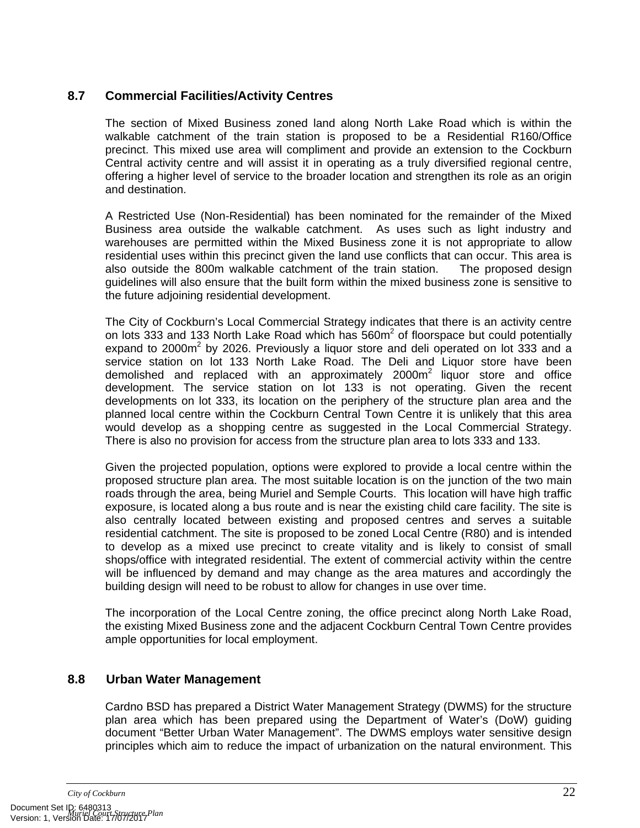## <span id="page-24-1"></span><span id="page-24-0"></span>**8.7 Commercial Facilities/Activity Centres**

The section of Mixed Business zoned land along North Lake Road which is within the walkable catchment of the train station is proposed to be a Residential R160/Office precinct. This mixed use area will compliment and provide an extension to the Cockburn Central activity centre and will assist it in operating as a truly diversified regional centre, offering a higher level of service to the broader location and strengthen its role as an origin and destination.

A Restricted Use (Non-Residential) has been nominated for the remainder of the Mixed Business area outside the walkable catchment. As uses such as light industry and warehouses are permitted within the Mixed Business zone it is not appropriate to allow residential uses within this precinct given the land use conflicts that can occur. This area is also outside the 800m walkable catchment of the train station. The proposed design guidelines will also ensure that the built form within the mixed business zone is sensitive to the future adjoining residential development.

The City of Cockburn's Local Commercial Strategy indicates that there is an activity centre on lots 333 and 133 North Lake Road which has  $560m^2$  of floorspace but could potentially expand to 2000m<sup>2</sup> by 2026. Previously a liquor store and deli operated on lot 333 and a service station on lot 133 North Lake Road. The Deli and Liquor store have been demolished and replaced with an approximately 2000m<sup>2</sup> liquor store and office development. The service station on lot 133 is not operating. Given the recent developments on lot 333, its location on the periphery of the structure plan area and the planned local centre within the Cockburn Central Town Centre it is unlikely that this area would develop as a shopping centre as suggested in the Local Commercial Strategy. There is also no provision for access from the structure plan area to lots 333 and 133.

Given the projected population, options were explored to provide a local centre within the proposed structure plan area. The most suitable location is on the junction of the two main roads through the area, being Muriel and Semple Courts. This location will have high traffic exposure, is located along a bus route and is near the existing child care facility. The site is also centrally located between existing and proposed centres and serves a suitable residential catchment. The site is proposed to be zoned Local Centre (R80) and is intended to develop as a mixed use precinct to create vitality and is likely to consist of small shops/office with integrated residential. The extent of commercial activity within the centre will be influenced by demand and may change as the area matures and accordingly the building design will need to be robust to allow for changes in use over time.

The incorporation of the Local Centre zoning, the office precinct along North Lake Road, the existing Mixed Business zone and the adjacent Cockburn Central Town Centre provides ample opportunities for local employment.

## <span id="page-24-2"></span>**8.8 Urban Water Management**

Cardno BSD has prepared a District Water Management Strategy (DWMS) for the structure plan area which has been prepared using the Department of Water's (DoW) guiding document "Better Urban Water Management". The DWMS employs water sensitive design principles which aim to reduce the impact of urbanization on the natural environment. This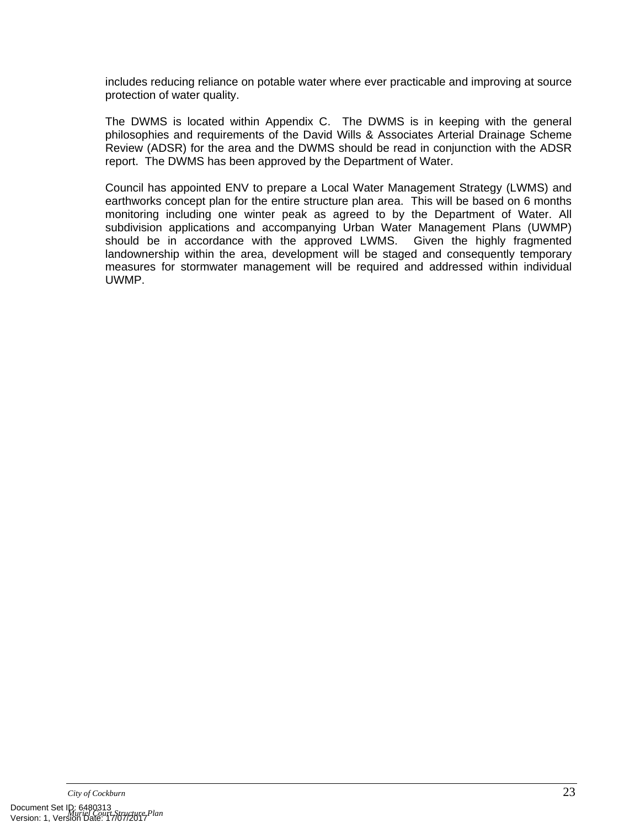includes reducing reliance on potable water where ever practicable and improving at source protection of water quality.

The DWMS is located within Appendix C. The DWMS is in keeping with the general philosophies and requirements of the David Wills & Associates Arterial Drainage Scheme Review (ADSR) for the area and the DWMS should be read in conjunction with the ADSR report. The DWMS has been approved by the Department of Water.

Council has appointed ENV to prepare a Local Water Management Strategy (LWMS) and earthworks concept plan for the entire structure plan area. This will be based on 6 months monitoring including one winter peak as agreed to by the Department of Water. All subdivision applications and accompanying Urban Water Management Plans (UWMP) should be in accordance with the approved LWMS. Given the highly fragmented landownership within the area, development will be staged and consequently temporary measures for stormwater management will be required and addressed within individual UWMP.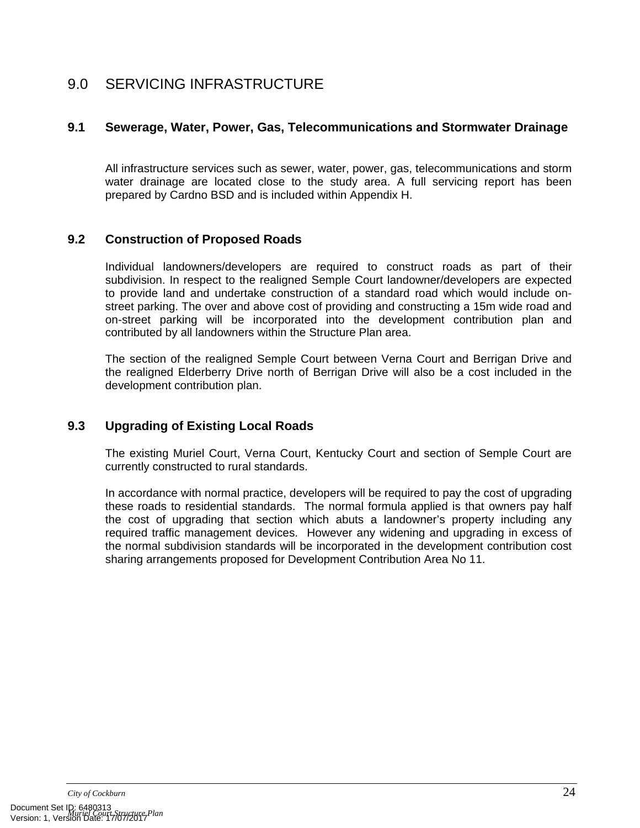## <span id="page-26-1"></span><span id="page-26-0"></span>9.0 SERVICING INFRASTRUCTURE

## <span id="page-26-2"></span>**9.1 Sewerage, Water, Power, Gas, Telecommunications and Stormwater Drainage**

All infrastructure services such as sewer, water, power, gas, telecommunications and storm water drainage are located close to the study area. A full servicing report has been prepared by Cardno BSD and is included within Appendix H.

## <span id="page-26-3"></span>**9.2 Construction of Proposed Roads**

Individual landowners/developers are required to construct roads as part of their subdivision. In respect to the realigned Semple Court landowner/developers are expected to provide land and undertake construction of a standard road which would include onstreet parking. The over and above cost of providing and constructing a 15m wide road and on-street parking will be incorporated into the development contribution plan and contributed by all landowners within the Structure Plan area.

The section of the realigned Semple Court between Verna Court and Berrigan Drive and the realigned Elderberry Drive north of Berrigan Drive will also be a cost included in the development contribution plan.

## <span id="page-26-4"></span>**9.3 Upgrading of Existing Local Roads**

The existing Muriel Court, Verna Court, Kentucky Court and section of Semple Court are currently constructed to rural standards.

In accordance with normal practice, developers will be required to pay the cost of upgrading these roads to residential standards. The normal formula applied is that owners pay half the cost of upgrading that section which abuts a landowner's property including any required traffic management devices. However any widening and upgrading in excess of the normal subdivision standards will be incorporated in the development contribution cost sharing arrangements proposed for Development Contribution Area No 11.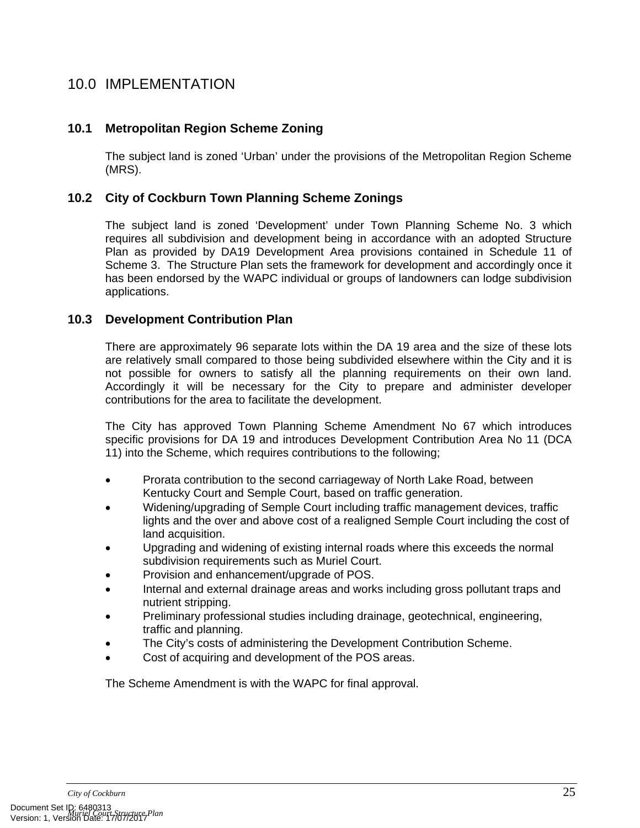## <span id="page-27-1"></span><span id="page-27-0"></span>10.0 IMPLEMENTATION

## <span id="page-27-2"></span>**10.1 Metropolitan Region Scheme Zoning**

The subject land is zoned 'Urban' under the provisions of the Metropolitan Region Scheme (MRS).

## <span id="page-27-3"></span>**10.2 City of Cockburn Town Planning Scheme Zonings**

The subject land is zoned 'Development' under Town Planning Scheme No. 3 which requires all subdivision and development being in accordance with an adopted Structure Plan as provided by DA19 Development Area provisions contained in Schedule 11 of Scheme 3. The Structure Plan sets the framework for development and accordingly once it has been endorsed by the WAPC individual or groups of landowners can lodge subdivision applications.

## <span id="page-27-4"></span>**10.3 Development Contribution Plan**

There are approximately 96 separate lots within the DA 19 area and the size of these lots are relatively small compared to those being subdivided elsewhere within the City and it is not possible for owners to satisfy all the planning requirements on their own land. Accordingly it will be necessary for the City to prepare and administer developer contributions for the area to facilitate the development.

The City has approved Town Planning Scheme Amendment No 67 which introduces specific provisions for DA 19 and introduces Development Contribution Area No 11 (DCA 11) into the Scheme, which requires contributions to the following;

- Prorata contribution to the second carriageway of North Lake Road, between Kentucky Court and Semple Court, based on traffic generation.
- Widening/upgrading of Semple Court including traffic management devices, traffic lights and the over and above cost of a realigned Semple Court including the cost of land acquisition.
- Upgrading and widening of existing internal roads where this exceeds the normal subdivision requirements such as Muriel Court.
- Provision and enhancement/upgrade of POS.
- Internal and external drainage areas and works including gross pollutant traps and nutrient stripping.
- Preliminary professional studies including drainage, geotechnical, engineering, traffic and planning.
- The City's costs of administering the Development Contribution Scheme.
- Cost of acquiring and development of the POS areas.

The Scheme Amendment is with the WAPC for final approval.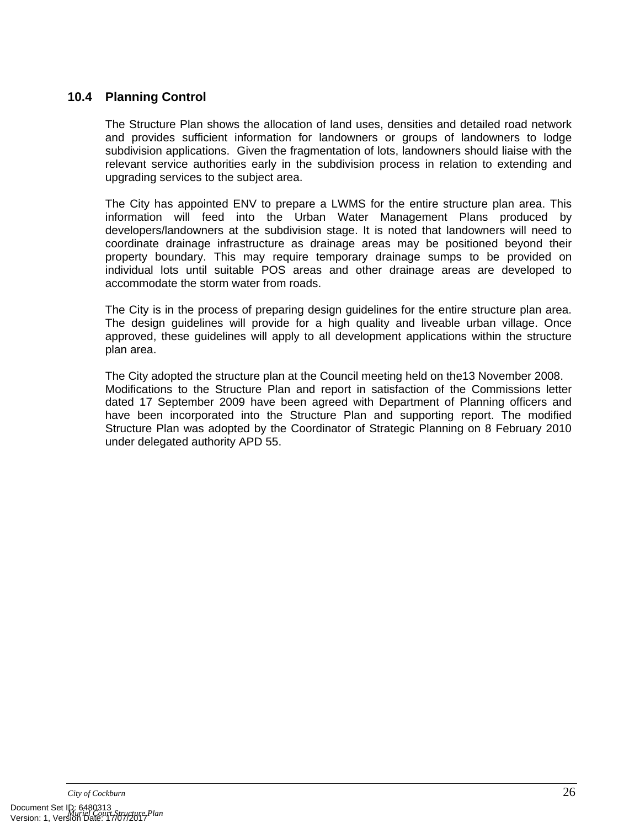## <span id="page-28-1"></span><span id="page-28-0"></span>**10.4 Planning Control**

The Structure Plan shows the allocation of land uses, densities and detailed road network and provides sufficient information for landowners or groups of landowners to lodge subdivision applications. Given the fragmentation of lots, landowners should liaise with the relevant service authorities early in the subdivision process in relation to extending and upgrading services to the subject area.

The City has appointed ENV to prepare a LWMS for the entire structure plan area. This information will feed into the Urban Water Management Plans produced by developers/landowners at the subdivision stage. It is noted that landowners will need to coordinate drainage infrastructure as drainage areas may be positioned beyond their property boundary. This may require temporary drainage sumps to be provided on individual lots until suitable POS areas and other drainage areas are developed to accommodate the storm water from roads.

The City is in the process of preparing design guidelines for the entire structure plan area. The design guidelines will provide for a high quality and liveable urban village. Once approved, these guidelines will apply to all development applications within the structure plan area.

The City adopted the structure plan at the Council meeting held on the13 November 2008. Modifications to the Structure Plan and report in satisfaction of the Commissions letter dated 17 September 2009 have been agreed with Department of Planning officers and have been incorporated into the Structure Plan and supporting report. The modified Structure Plan was adopted by the Coordinator of Strategic Planning on 8 February 2010 under delegated authority APD 55.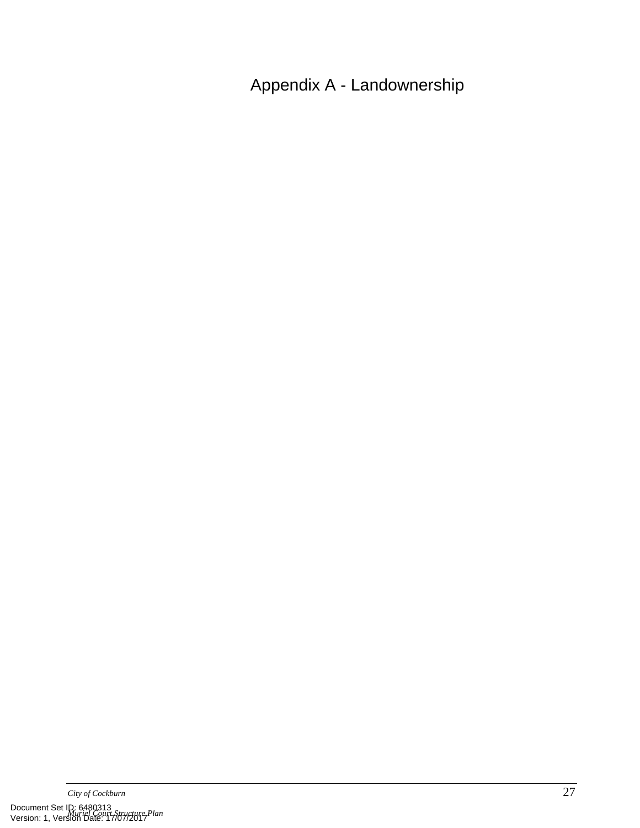Appendix A - Landownership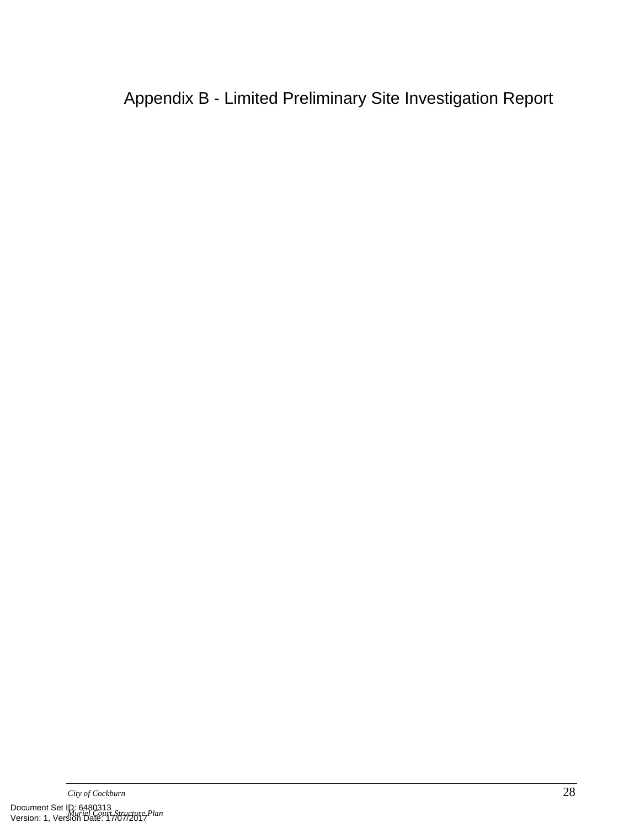Appendix B - Limited Preliminary Site Investigation Report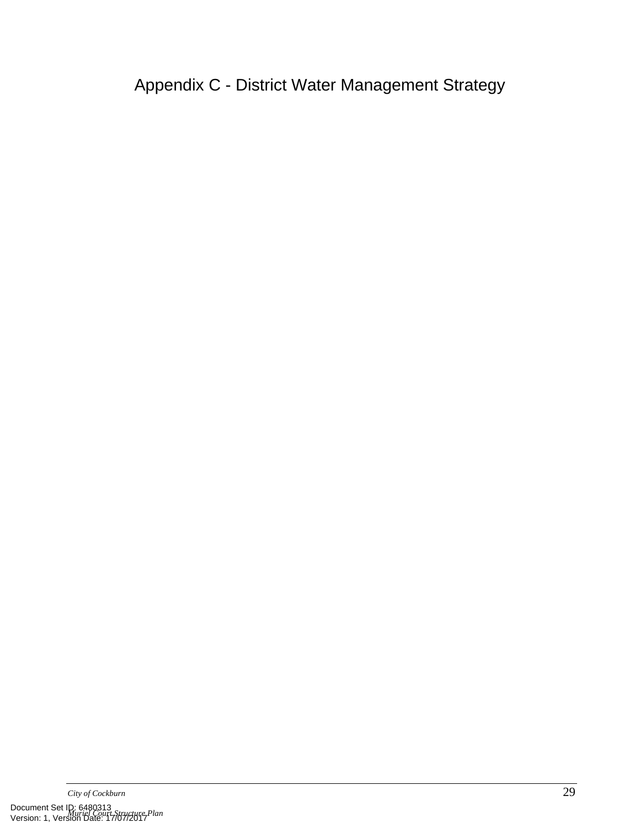Appendix C - District Water Management Strategy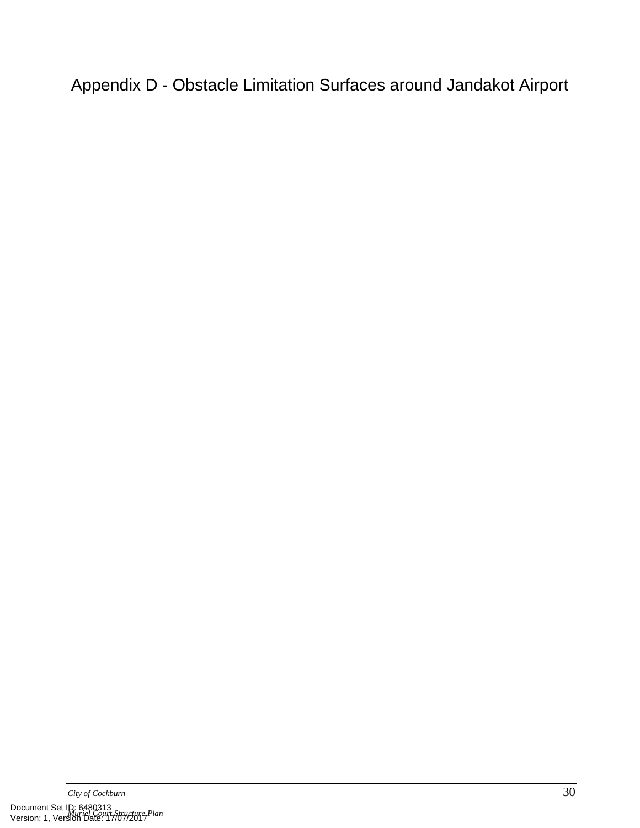Appendix D - Obstacle Limitation Surfaces around Jandakot Airport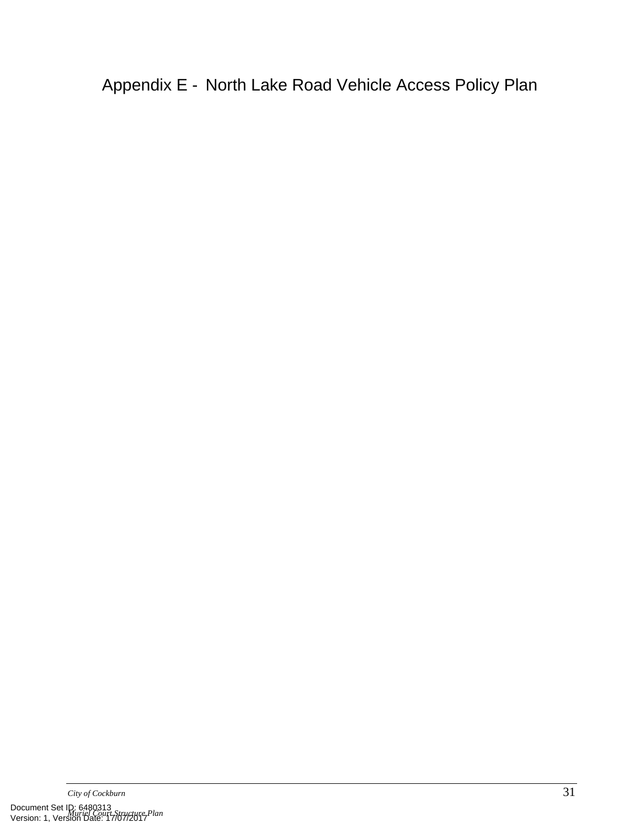Appendix E - North Lake Road Vehicle Access Policy Plan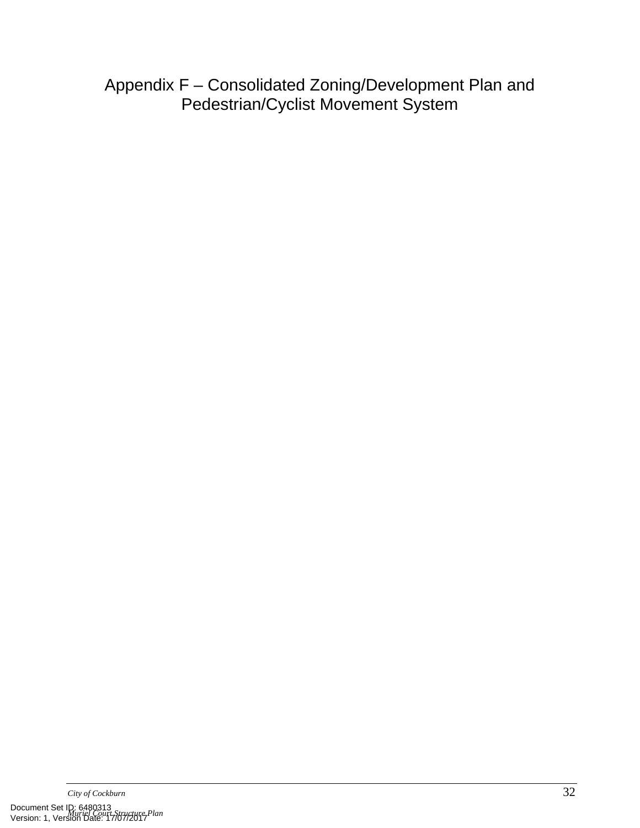Appendix F – Consolidated Zoning/Development Plan and Pedestrian/Cyclist Movement System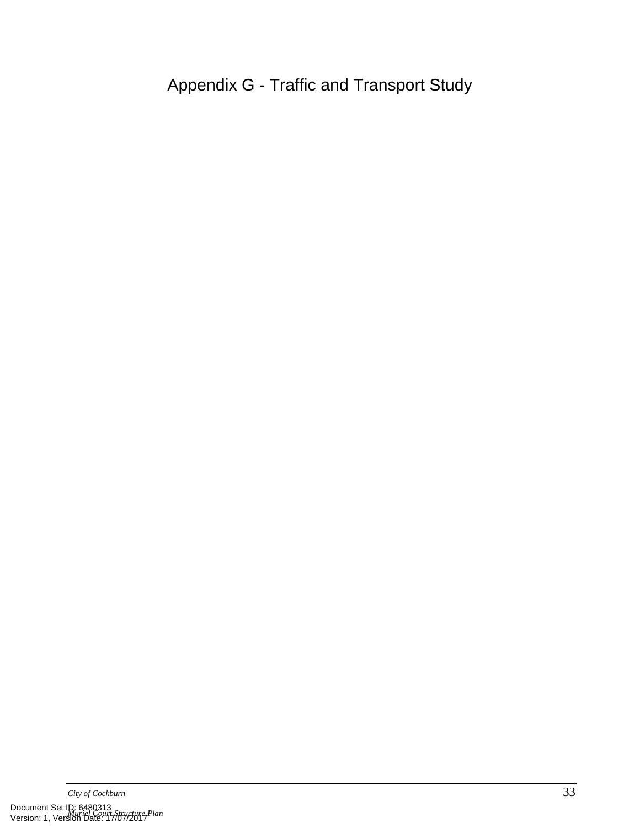# Appendix G - Traffic and Transport Study